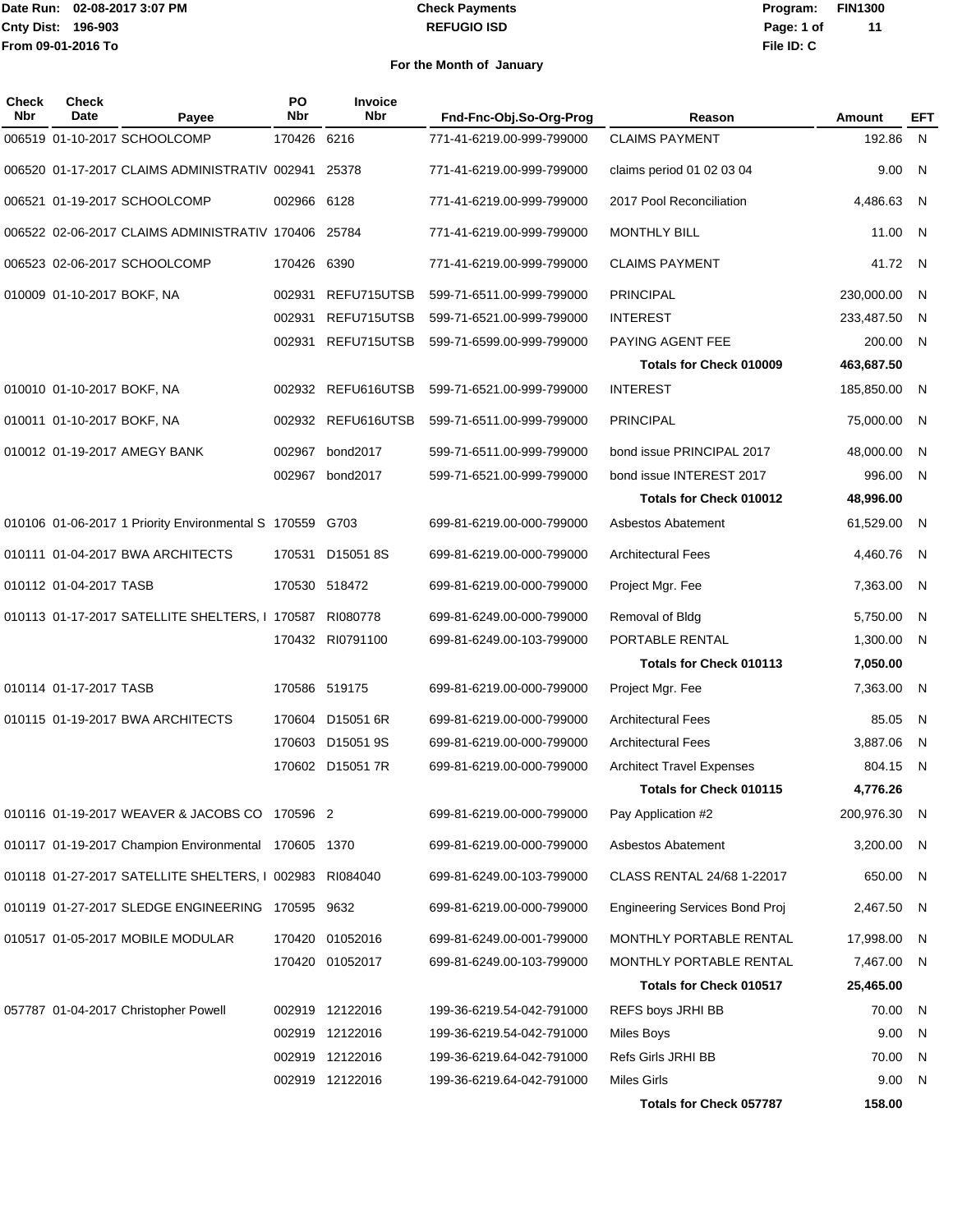#### **REFUGIO ISD Check Payments**

**02-08-2017 3:07 PM Program: FIN1300 File ID: C Page: 1 of 11**

| Check<br><b>Nbr</b> | Check<br>Date              | Payee                                                | PO<br><b>Nbr</b> | Invoice<br><b>Nbr</b> | Fnd-Fnc-Obj.So-Org-Prog   | Reason                                | Amount       | <b>EFT</b>     |
|---------------------|----------------------------|------------------------------------------------------|------------------|-----------------------|---------------------------|---------------------------------------|--------------|----------------|
|                     |                            | 006519 01-10-2017 SCHOOLCOMP                         | 170426           | 6216                  | 771-41-6219.00-999-799000 | <b>CLAIMS PAYMENT</b>                 | 192.86       | $\mathsf{N}$   |
|                     |                            | 006520 01-17-2017 CLAIMS ADMINISTRATIV 002941        |                  | 25378                 | 771-41-6219.00-999-799000 | claims period 01 02 03 04             | 9.00         | N              |
|                     |                            | 006521 01-19-2017 SCHOOLCOMP                         | 002966 6128      |                       | 771-41-6219.00-999-799000 | 2017 Pool Reconciliation              | 4,486.63     | - N            |
|                     |                            | 006522 02-06-2017 CLAIMS ADMINISTRATIV 170406        |                  | 25784                 | 771-41-6219.00-999-799000 | <b>MONTHLY BILL</b>                   | 11.00        | - N            |
|                     |                            | 006523 02-06-2017 SCHOOLCOMP                         | 170426           | 6390                  | 771-41-6219.00-999-799000 | <b>CLAIMS PAYMENT</b>                 | 41.72        | N              |
|                     | 010009 01-10-2017 BOKF, NA |                                                      | 002931           | REFU715UTSB           | 599-71-6511.00-999-799000 | <b>PRINCIPAL</b>                      | 230,000.00   | - N            |
|                     |                            |                                                      | 002931           | REFU715UTSB           | 599-71-6521.00-999-799000 | <b>INTEREST</b>                       | 233,487.50   | - N            |
|                     |                            |                                                      |                  | 002931 REFU715UTSB    | 599-71-6599.00-999-799000 | PAYING AGENT FEE                      | 200.00       | $\overline{N}$ |
|                     |                            |                                                      |                  |                       |                           | <b>Totals for Check 010009</b>        | 463,687.50   |                |
|                     | 010010 01-10-2017 BOKF, NA |                                                      |                  | 002932 REFU616UTSB    | 599-71-6521.00-999-799000 | <b>INTEREST</b>                       | 185,850.00   | $\overline{N}$ |
|                     | 010011 01-10-2017 BOKF, NA |                                                      | 002932           | REFU616UTSB           | 599-71-6511.00-999-799000 | <b>PRINCIPAL</b>                      | 75,000.00    | - N            |
|                     |                            | 010012 01-19-2017 AMEGY BANK                         | 002967           | bond2017              | 599-71-6511.00-999-799000 | bond issue PRINCIPAL 2017             | 48,000.00    | N              |
|                     |                            |                                                      | 002967           | bond2017              | 599-71-6521.00-999-799000 | bond issue INTEREST 2017              | 996.00       | - N            |
|                     |                            |                                                      |                  |                       |                           | <b>Totals for Check 010012</b>        | 48,996.00    |                |
|                     |                            | 010106 01-06-2017 1 Priority Environmental S 170559  |                  | G703                  | 699-81-6219.00-000-799000 | Asbestos Abatement                    | 61,529.00    | - N            |
|                     |                            | 010111 01-04-2017 BWA ARCHITECTS                     | 170531           | D150518S              | 699-81-6219.00-000-799000 | <b>Architectural Fees</b>             | 4,460.76     | - N            |
|                     | 010112 01-04-2017 TASB     |                                                      |                  | 170530 518472         | 699-81-6219.00-000-799000 | Project Mgr. Fee                      | 7,363.00     | - N            |
|                     |                            | 010113 01-17-2017 SATELLITE SHELTERS, I 170587       |                  | RI080778              | 699-81-6249.00-000-799000 | Removal of Bldg                       | 5,750.00     | - N            |
|                     |                            |                                                      |                  | 170432 RI0791100      | 699-81-6249.00-103-799000 | PORTABLE RENTAL                       | 1,300.00     | - N            |
|                     |                            |                                                      |                  |                       |                           | <b>Totals for Check 010113</b>        | 7,050.00     |                |
|                     | 010114 01-17-2017 TASB     |                                                      |                  | 170586 519175         | 699-81-6219.00-000-799000 | Project Mgr. Fee                      | 7,363.00     | - N            |
|                     |                            | 010115 01-19-2017 BWA ARCHITECTS                     | 170604           | D15051 6R             | 699-81-6219.00-000-799000 | <b>Architectural Fees</b>             | 85.05        | - N            |
|                     |                            |                                                      |                  | 170603 D15051 9S      | 699-81-6219.00-000-799000 | <b>Architectural Fees</b>             | 3,887.06     | - N            |
|                     |                            |                                                      |                  | 170602 D15051 7R      | 699-81-6219.00-000-799000 | <b>Architect Travel Expenses</b>      | 804.15       | - N            |
|                     |                            |                                                      |                  |                       |                           | <b>Totals for Check 010115</b>        | 4,776.26     |                |
|                     |                            | 010116 01-19-2017 WEAVER & JACOBS CO 170596 2        |                  |                       | 699-81-6219.00-000-799000 | Pay Application #2                    | 200,976.30 N |                |
|                     |                            | 010117 01-19-2017 Champion Environmental 170605 1370 |                  |                       | 699-81-6219.00-000-799000 | Asbestos Abatement                    | 3,200.00 N   |                |
|                     |                            | 010118 01-27-2017 SATELLITE SHELTERS, I 002983       |                  | RI084040              | 699-81-6249.00-103-799000 | CLASS RENTAL 24/68 1-22017            | 650.00       | - N            |
|                     |                            | 010119 01-27-2017 SLEDGE ENGINEERING 170595 9632     |                  |                       | 699-81-6219.00-000-799000 | <b>Engineering Services Bond Proj</b> | 2,467.50 N   |                |
|                     |                            | 010517 01-05-2017 MOBILE MODULAR                     |                  | 170420 01052016       | 699-81-6249.00-001-799000 | MONTHLY PORTABLE RENTAL               | 17,998.00 N  |                |
|                     |                            |                                                      |                  | 170420 01052017       | 699-81-6249.00-103-799000 | MONTHLY PORTABLE RENTAL               | 7,467.00 N   |                |
|                     |                            |                                                      |                  |                       |                           | <b>Totals for Check 010517</b>        | 25,465.00    |                |
|                     |                            | 057787 01-04-2017 Christopher Powell                 |                  | 002919 12122016       | 199-36-6219.54-042-791000 | REFS boys JRHI BB                     | 70.00 N      |                |
|                     |                            |                                                      |                  | 002919 12122016       | 199-36-6219.54-042-791000 | Miles Boys                            | 9.00         | N,             |
|                     |                            |                                                      |                  | 002919 12122016       | 199-36-6219.64-042-791000 | Refs Girls JRHI BB                    | 70.00        | - N            |
|                     |                            |                                                      |                  | 002919 12122016       | 199-36-6219.64-042-791000 | Miles Girls                           | 9.00 N       |                |
|                     |                            |                                                      |                  |                       |                           | Totals for Check 057787               | 158.00       |                |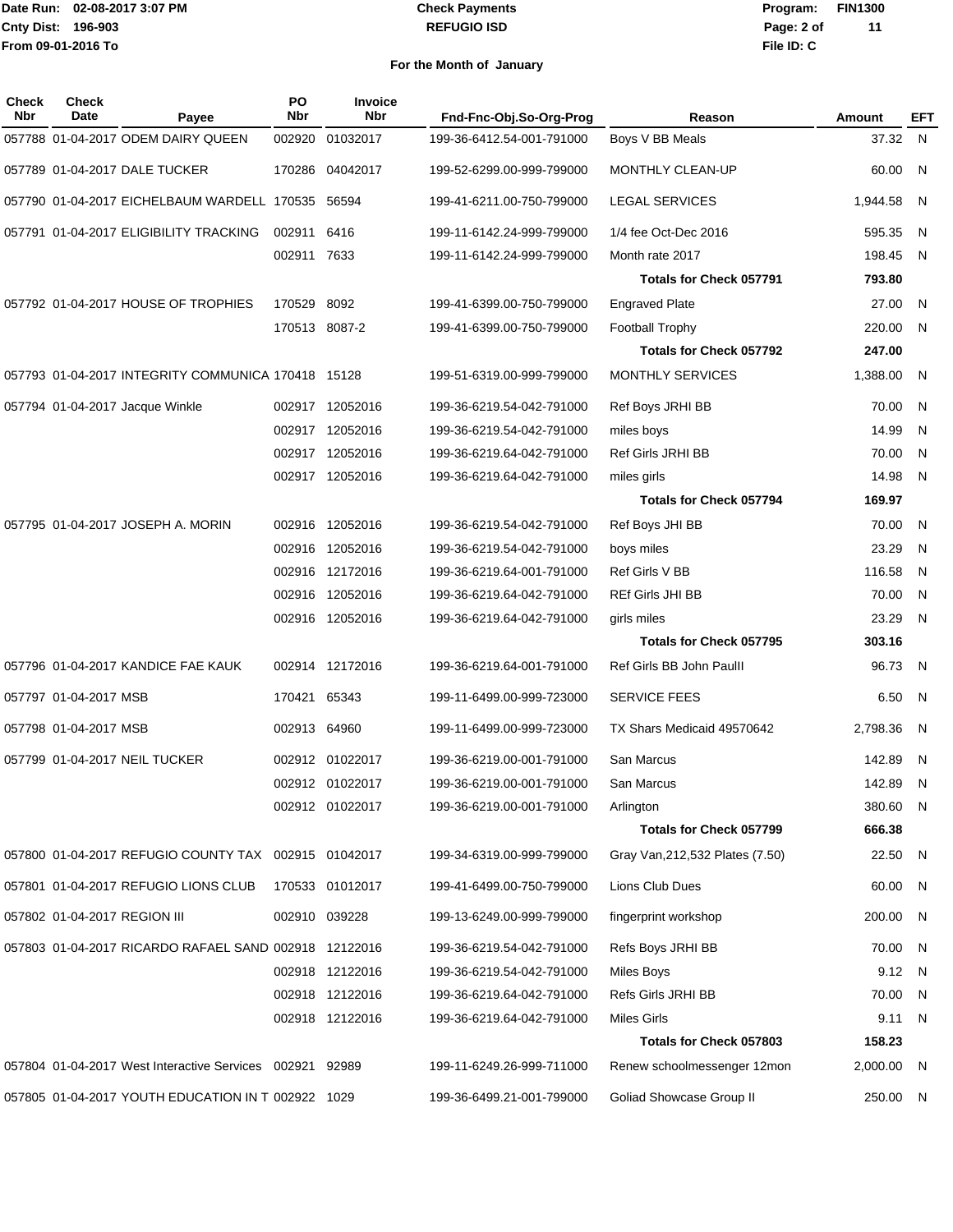### **REFUGIO ISD Check Payments**

**02-08-2017 3:07 PM Program: FIN1300 File ID: C Page: 2 of 11**

| Check<br><b>Nbr</b> | <b>Check</b><br>Date         | Payee                                                 | PO<br>Nbr     | <b>Invoice</b><br><b>Nbr</b> | Fnd-Fnc-Obj.So-Org-Prog   | Reason                           | Amount     | EFT            |
|---------------------|------------------------------|-------------------------------------------------------|---------------|------------------------------|---------------------------|----------------------------------|------------|----------------|
|                     |                              | 057788 01-04-2017 ODEM DAIRY QUEEN                    | 002920        | 01032017                     | 199-36-6412.54-001-791000 | Boys V BB Meals                  | 37.32 N    |                |
|                     |                              | 057789 01-04-2017 DALE TUCKER                         | 170286        | 04042017                     | 199-52-6299.00-999-799000 | MONTHLY CLEAN-UP                 | 60.00      | N              |
|                     |                              | 057790 01-04-2017 EICHELBAUM WARDELL 170535           |               | 56594                        | 199-41-6211.00-750-799000 | <b>LEGAL SERVICES</b>            | 1,944.58   | - N            |
|                     |                              | 057791 01-04-2017 ELIGIBILITY TRACKING                | 002911        | 6416                         | 199-11-6142.24-999-799000 | 1/4 fee Oct-Dec 2016             | 595.35     | - N            |
|                     |                              |                                                       | 002911 7633   |                              | 199-11-6142.24-999-799000 | Month rate 2017                  | 198.45     | N              |
|                     |                              |                                                       |               |                              |                           | <b>Totals for Check 057791</b>   | 793.80     |                |
|                     |                              | 057792 01-04-2017 HOUSE OF TROPHIES                   | 170529        | 8092                         | 199-41-6399.00-750-799000 | <b>Engraved Plate</b>            | 27.00      | - N            |
|                     |                              |                                                       | 170513 8087-2 |                              | 199-41-6399.00-750-799000 | <b>Football Trophy</b>           | 220.00     | - N            |
|                     |                              |                                                       |               |                              |                           | <b>Totals for Check 057792</b>   | 247.00     |                |
|                     |                              | 057793 01-04-2017 INTEGRITY COMMUNICA 170418 15128    |               |                              | 199-51-6319.00-999-799000 | MONTHLY SERVICES                 | 1,388.00   | N              |
|                     |                              | 057794 01-04-2017 Jacque Winkle                       |               | 002917 12052016              | 199-36-6219.54-042-791000 | Ref Boys JRHI BB                 | 70.00      | - N            |
|                     |                              |                                                       |               | 002917 12052016              | 199-36-6219.54-042-791000 | miles boys                       | 14.99      | N              |
|                     |                              |                                                       |               | 002917 12052016              | 199-36-6219.64-042-791000 | Ref Girls JRHI BB                | 70.00      | N              |
|                     |                              |                                                       |               | 002917 12052016              | 199-36-6219.64-042-791000 | miles girls                      | 14.98      | - N            |
|                     |                              |                                                       |               |                              |                           | <b>Totals for Check 057794</b>   | 169.97     |                |
|                     |                              | 057795 01-04-2017 JOSEPH A. MORIN                     | 002916        | 12052016                     | 199-36-6219.54-042-791000 | Ref Boys JHI BB                  | 70.00      | N              |
|                     |                              |                                                       | 002916        | 12052016                     | 199-36-6219.54-042-791000 | boys miles                       | 23.29      | -N             |
|                     |                              |                                                       |               | 002916 12172016              | 199-36-6219.64-001-791000 | Ref Girls V BB                   | 116.58     | N              |
|                     |                              |                                                       | 002916        | 12052016                     | 199-36-6219.64-042-791000 | <b>REf Girls JHI BB</b>          | 70.00      | N              |
|                     |                              |                                                       |               | 002916 12052016              | 199-36-6219.64-042-791000 | girls miles                      | 23.29      | N              |
|                     |                              |                                                       |               |                              |                           | <b>Totals for Check 057795</b>   | 303.16     |                |
|                     |                              | 057796 01-04-2017 KANDICE FAE KAUK                    |               | 002914 12172016              | 199-36-6219.64-001-791000 | Ref Girls BB John Paulll         | 96.73      | $\overline{N}$ |
|                     | 057797 01-04-2017 MSB        |                                                       | 170421        | 65343                        | 199-11-6499.00-999-723000 | <b>SERVICE FEES</b>              | 6.50       | - N            |
|                     | 057798 01-04-2017 MSB        |                                                       | 002913 64960  |                              | 199-11-6499.00-999-723000 | TX Shars Medicaid 49570642       | 2,798.36   | N              |
|                     |                              | 057799 01-04-2017 NEIL TUCKER                         |               | 002912 01022017              | 199-36-6219.00-001-791000 | San Marcus                       | 142.89     | - N            |
|                     |                              |                                                       |               | 002912 01022017              | 199-36-6219.00-001-791000 | San Marcus                       | 142.89     | - N            |
|                     |                              |                                                       |               | 002912 01022017              | 199-36-6219.00-001-791000 | Arlington                        | 380.60 N   |                |
|                     |                              |                                                       |               |                              |                           | <b>Totals for Check 057799</b>   | 666.38     |                |
|                     |                              | 057800 01-04-2017 REFUGIO COUNTY TAX 002915 01042017  |               |                              | 199-34-6319.00-999-799000 | Gray Van, 212, 532 Plates (7.50) | 22.50      | $\mathsf{N}$   |
|                     |                              | 057801 01-04-2017 REFUGIO LIONS CLUB                  |               | 170533 01012017              | 199-41-6499.00-750-799000 | Lions Club Dues                  | 60.00      | - N            |
|                     | 057802 01-04-2017 REGION III |                                                       |               | 002910 039228                | 199-13-6249.00-999-799000 | fingerprint workshop             | 200.00     | - N            |
|                     |                              | 057803 01-04-2017 RICARDO RAFAEL SAND 002918 12122016 |               |                              | 199-36-6219.54-042-791000 | Refs Boys JRHI BB                | 70.00      | N              |
|                     |                              |                                                       |               | 002918 12122016              | 199-36-6219.54-042-791000 | Miles Boys                       | 9.12       | $\mathsf{N}$   |
|                     |                              |                                                       |               | 002918 12122016              | 199-36-6219.64-042-791000 | Refs Girls JRHI BB               | 70.00      | - N            |
|                     |                              |                                                       |               | 002918 12122016              | 199-36-6219.64-042-791000 | Miles Girls                      | 9.11       | N,             |
|                     |                              |                                                       |               |                              |                           | Totals for Check 057803          | 158.23     |                |
|                     |                              | 057804 01-04-2017 West Interactive Services 002921    |               | 92989                        | 199-11-6249.26-999-711000 | Renew schoolmessenger 12mon      | 2,000.00 N |                |
|                     |                              | 057805 01-04-2017 YOUTH EDUCATION IN T 002922 1029    |               |                              | 199-36-6499.21-001-799000 | Goliad Showcase Group II         | 250.00 N   |                |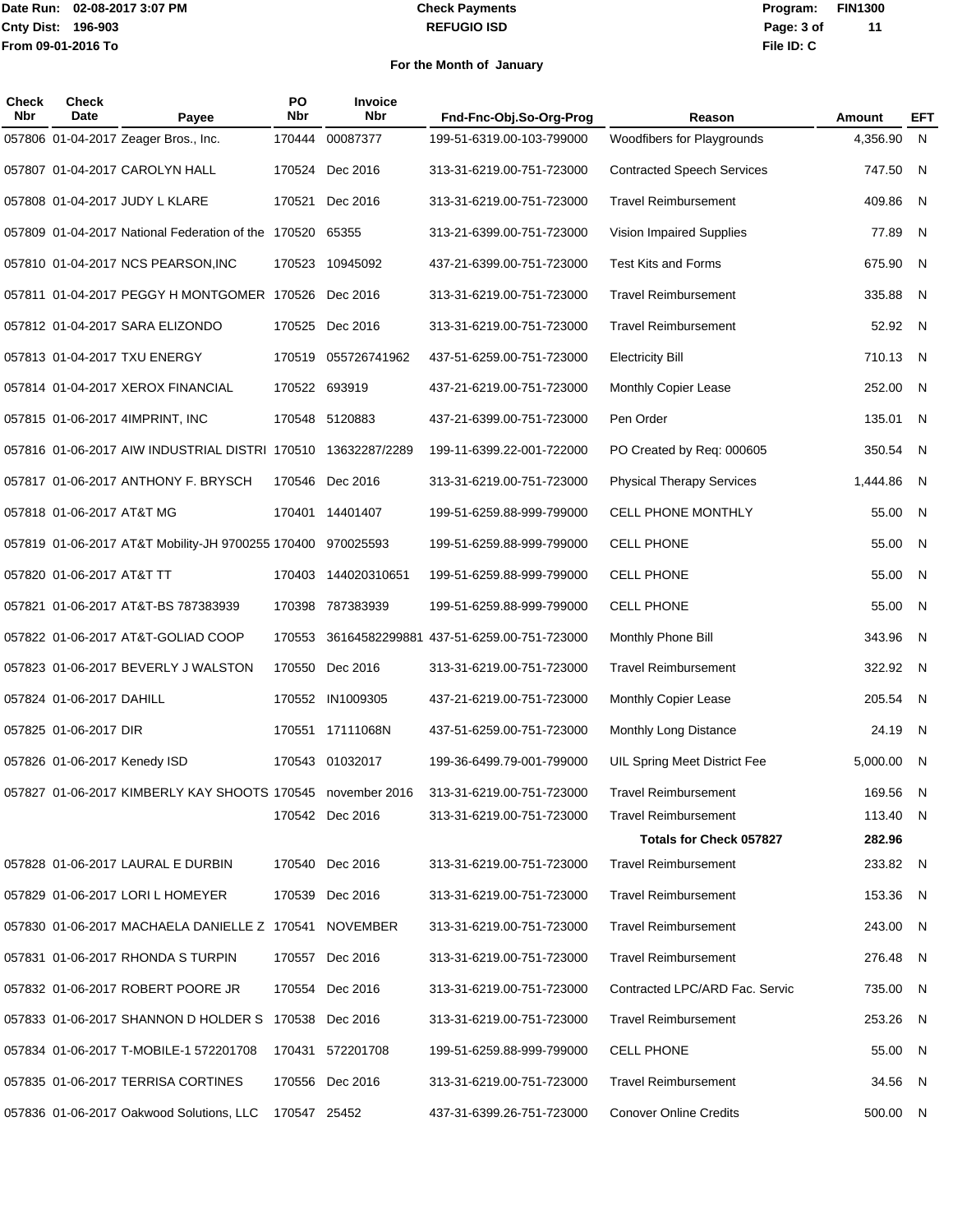#### **REFUGIO ISD Check Payments**

**02-08-2017 3:07 PM Program: FIN1300 File ID: C Page: 3 of 11**

| <b>Check</b><br><b>Nbr</b> | <b>Check</b><br><b>Date</b> | Payee                                                        | PO<br><b>Nbr</b> | Invoice<br><b>Nbr</b> | Fnd-Fnc-Obj.So-Org-Prog                  | Reason                            | Amount   | <b>EFT</b> |
|----------------------------|-----------------------------|--------------------------------------------------------------|------------------|-----------------------|------------------------------------------|-----------------------------------|----------|------------|
|                            |                             | 057806 01-04-2017 Zeager Bros., Inc.                         | 170444           | 00087377              | 199-51-6319.00-103-799000                | Woodfibers for Playgrounds        | 4.356.90 | N,         |
|                            |                             | 057807 01-04-2017 CAROLYN HALL                               | 170524           | Dec 2016              | 313-31-6219.00-751-723000                | <b>Contracted Speech Services</b> | 747.50   | N.         |
|                            |                             | 057808 01-04-2017 JUDY L KLARE                               |                  | 170521 Dec 2016       | 313-31-6219.00-751-723000                | <b>Travel Reimbursement</b>       | 409.86   | - N        |
|                            |                             | 057809 01-04-2017 National Federation of the 170520          |                  | 65355                 | 313-21-6399.00-751-723000                | Vision Impaired Supplies          | 77.89    | - N        |
|                            |                             | 057810 01-04-2017 NCS PEARSON, INC                           | 170523           | 10945092              | 437-21-6399.00-751-723000                | <b>Test Kits and Forms</b>        | 675.90   | N.         |
|                            |                             | 057811 01-04-2017 PEGGY H MONTGOMER 170526                   |                  | Dec 2016              | 313-31-6219.00-751-723000                | <b>Travel Reimbursement</b>       | 335.88   | - N        |
|                            |                             | 057812 01-04-2017 SARA ELIZONDO                              | 170525           | Dec 2016              | 313-31-6219.00-751-723000                | <b>Travel Reimbursement</b>       | 52.92 N  |            |
|                            |                             | 057813 01-04-2017 TXU ENERGY                                 | 170519           | 055726741962          | 437-51-6259.00-751-723000                | <b>Electricity Bill</b>           | 710.13   | - N        |
|                            |                             | 057814 01-04-2017 XEROX FINANCIAL                            |                  | 170522 693919         | 437-21-6219.00-751-723000                | <b>Monthly Copier Lease</b>       | 252.00   | - N        |
|                            |                             | 057815 01-06-2017 4IMPRINT, INC                              | 170548           | 5120883               | 437-21-6399.00-751-723000                | Pen Order                         | 135.01   | N          |
|                            |                             | 057816 01-06-2017 AIW INDUSTRIAL DISTRI 170510 13632287/2289 |                  |                       | 199-11-6399.22-001-722000                | PO Created by Req: 000605         | 350.54   | N          |
|                            |                             | 057817 01-06-2017 ANTHONY F. BRYSCH                          |                  | 170546 Dec 2016       | 313-31-6219.00-751-723000                | <b>Physical Therapy Services</b>  | 1,444.86 | - N        |
|                            | 057818 01-06-2017 AT&T MG   |                                                              |                  | 170401 14401407       | 199-51-6259.88-999-799000                | CELL PHONE MONTHLY                | 55.00    | - N        |
|                            |                             | 057819 01-06-2017 AT&T Mobility-JH 9700255 170400 970025593  |                  |                       | 199-51-6259.88-999-799000                | <b>CELL PHONE</b>                 | 55.00    | N.         |
|                            | 057820 01-06-2017 AT&T TT   |                                                              |                  | 170403 144020310651   | 199-51-6259.88-999-799000                | <b>CELL PHONE</b>                 | 55.00    | - N        |
|                            |                             | 057821 01-06-2017 AT&T-BS 787383939                          | 170398           | 787383939             | 199-51-6259.88-999-799000                | <b>CELL PHONE</b>                 | 55.00    | - N        |
|                            |                             | 057822 01-06-2017 AT&T-GOLIAD COOP                           | 170553           |                       | 36164582299881 437-51-6259.00-751-723000 | Monthly Phone Bill                | 343.96   | N.         |
|                            |                             | 057823 01-06-2017 BEVERLY J WALSTON                          |                  | 170550 Dec 2016       | 313-31-6219.00-751-723000                | <b>Travel Reimbursement</b>       | 322.92   | - N        |
|                            | 057824 01-06-2017 DAHILL    |                                                              | 170552           | IN1009305             | 437-21-6219.00-751-723000                | Monthly Copier Lease              | 205.54   | - N        |
|                            | 057825 01-06-2017 DIR       |                                                              |                  | 170551 17111068N      | 437-51-6259.00-751-723000                | Monthly Long Distance             | 24.19    | - N        |
|                            |                             | 057826 01-06-2017 Kenedy ISD                                 |                  | 170543 01032017       | 199-36-6499.79-001-799000                | UIL Spring Meet District Fee      | 5,000.00 | - N        |
|                            |                             | 057827 01-06-2017 KIMBERLY KAY SHOOTS 170545 november 2016   |                  |                       | 313-31-6219.00-751-723000                | <b>Travel Reimbursement</b>       | 169.56 N |            |
|                            |                             |                                                              |                  | 170542 Dec 2016       | 313-31-6219.00-751-723000                | <b>Travel Reimbursement</b>       | 113.40 N |            |
|                            |                             |                                                              |                  |                       |                                          | <b>Totals for Check 057827</b>    | 282.96   |            |
|                            |                             | 057828 01-06-2017 LAURAL E DURBIN                            |                  | 170540 Dec 2016       | 313-31-6219.00-751-723000                | <b>Travel Reimbursement</b>       | 233.82 N |            |
|                            |                             | 057829 01-06-2017 LORI L HOMEYER                             |                  | 170539 Dec 2016       | 313-31-6219.00-751-723000                | <b>Travel Reimbursement</b>       | 153.36 N |            |
|                            |                             | 057830 01-06-2017 MACHAELA DANIELLE Z 170541 NOVEMBER        |                  |                       | 313-31-6219.00-751-723000                | <b>Travel Reimbursement</b>       | 243.00 N |            |
|                            |                             | 057831 01-06-2017 RHONDA S TURPIN                            |                  | 170557 Dec 2016       | 313-31-6219.00-751-723000                | <b>Travel Reimbursement</b>       | 276.48 N |            |
|                            |                             | 057832 01-06-2017 ROBERT POORE JR                            |                  | 170554 Dec 2016       | 313-31-6219.00-751-723000                | Contracted LPC/ARD Fac. Servic    | 735.00 N |            |
|                            |                             | 057833 01-06-2017 SHANNON D HOLDER S 170538 Dec 2016         |                  |                       | 313-31-6219.00-751-723000                | <b>Travel Reimbursement</b>       | 253.26 N |            |
|                            |                             | 057834 01-06-2017 T-MOBILE-1 572201708                       |                  | 170431 572201708      | 199-51-6259.88-999-799000                | <b>CELL PHONE</b>                 | 55.00 N  |            |
|                            |                             | 057835 01-06-2017 TERRISA CORTINES                           |                  | 170556 Dec 2016       | 313-31-6219.00-751-723000                | <b>Travel Reimbursement</b>       | 34.56 N  |            |
|                            |                             | 057836 01-06-2017 Oakwood Solutions, LLC                     | 170547 25452     |                       | 437-31-6399.26-751-723000                | <b>Conover Online Credits</b>     | 500.00 N |            |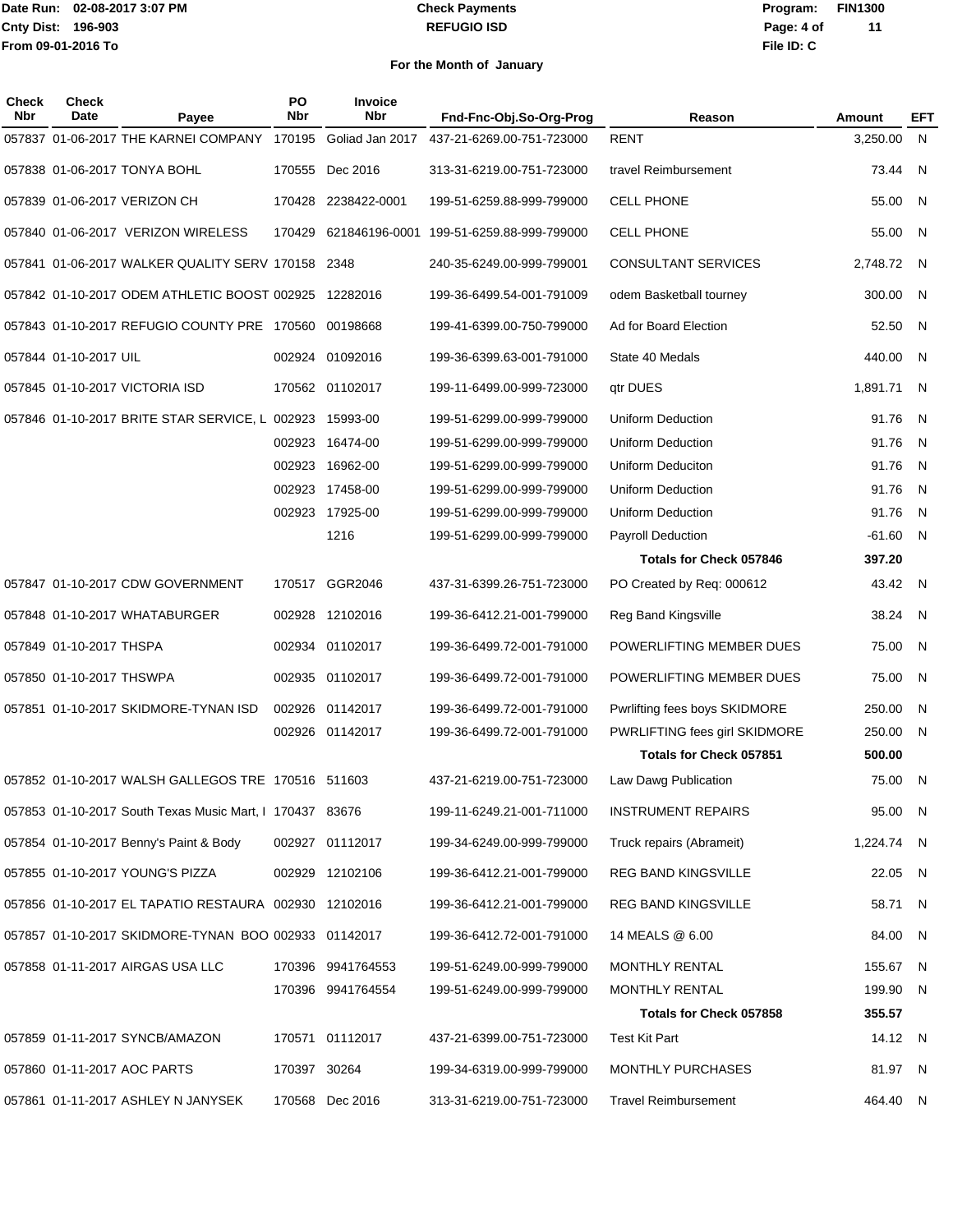### **REFUGIO ISD Check Payments**

**02-08-2017 3:07 PM Program: FIN1300 File ID: C Page: 4 of 11**

| Check<br><b>Nbr</b> | <b>Check</b><br>Date     | Payee                                                    | PO<br><b>Nbr</b> | Invoice<br><b>Nbr</b> | Fnd-Fnc-Obj.So-Org-Prog   | Reason                         | Amount     | EFT |
|---------------------|--------------------------|----------------------------------------------------------|------------------|-----------------------|---------------------------|--------------------------------|------------|-----|
|                     |                          | 057837 01-06-2017 THE KARNEI COMPANY 170195              |                  | Goliad Jan 2017       | 437-21-6269.00-751-723000 | <b>RENT</b>                    | 3,250.00   | - N |
|                     |                          |                                                          |                  |                       |                           |                                |            |     |
|                     |                          | 057838 01-06-2017 TONYA BOHL                             | 170555           | Dec 2016              | 313-31-6219.00-751-723000 | travel Reimbursement           | 73.44      | N   |
|                     |                          | 057839 01-06-2017 VERIZON CH                             |                  | 170428 2238422-0001   | 199-51-6259.88-999-799000 | <b>CELL PHONE</b>              | 55.00      | - N |
|                     |                          | 057840 01-06-2017 VERIZON WIRELESS                       | 170429           | 621846196-0001        | 199-51-6259.88-999-799000 | <b>CELL PHONE</b>              | 55.00      | N,  |
|                     |                          | 057841 01-06-2017 WALKER QUALITY SERV 170158 2348        |                  |                       | 240-35-6249.00-999-799001 | CONSULTANT SERVICES            | 2,748.72   | N.  |
|                     |                          | 057842 01-10-2017 ODEM ATHLETIC BOOST 002925 12282016    |                  |                       | 199-36-6499.54-001-791009 | odem Basketball tourney        | 300.00     | N   |
|                     |                          | 057843 01-10-2017 REFUGIO COUNTY PRE 170560 00198668     |                  |                       | 199-41-6399.00-750-799000 | Ad for Board Election          | 52.50      | N   |
|                     | 057844 01-10-2017 UIL    |                                                          |                  | 002924 01092016       | 199-36-6399.63-001-791000 | State 40 Medals                | 440.00     | N   |
|                     |                          | 057845 01-10-2017 VICTORIA ISD                           |                  | 170562 01102017       | 199-11-6499.00-999-723000 | gtr DUES                       | 1,891.71   | - N |
|                     |                          | 057846 01-10-2017 BRITE STAR SERVICE, L 002923           |                  | 15993-00              | 199-51-6299.00-999-799000 | <b>Uniform Deduction</b>       | 91.76      | N   |
|                     |                          |                                                          |                  | 002923 16474-00       | 199-51-6299.00-999-799000 | Uniform Deduction              | 91.76      | N   |
|                     |                          |                                                          | 002923           | 16962-00              | 199-51-6299.00-999-799000 | Uniform Deduciton              | 91.76      | N   |
|                     |                          |                                                          |                  | 002923 17458-00       | 199-51-6299.00-999-799000 | <b>Uniform Deduction</b>       | 91.76      | N   |
|                     |                          |                                                          |                  | 002923 17925-00       |                           |                                |            |     |
|                     |                          |                                                          |                  |                       | 199-51-6299.00-999-799000 | <b>Uniform Deduction</b>       | 91.76      | N   |
|                     |                          |                                                          |                  | 1216                  | 199-51-6299.00-999-799000 | <b>Payroll Deduction</b>       | $-61.60$   | N   |
|                     |                          |                                                          |                  |                       |                           | Totals for Check 057846        | 397.20     |     |
|                     |                          | 057847 01-10-2017 CDW GOVERNMENT                         |                  | 170517 GGR2046        | 437-31-6399.26-751-723000 | PO Created by Req: 000612      | 43.42      | - N |
|                     |                          | 057848 01-10-2017 WHATABURGER                            | 002928           | 12102016              | 199-36-6412.21-001-799000 | Reg Band Kingsville            | 38.24      | N.  |
|                     | 057849 01-10-2017 THSPA  |                                                          |                  | 002934 01102017       | 199-36-6499.72-001-791000 | POWERLIFTING MEMBER DUES       | 75.00      | N   |
|                     | 057850 01-10-2017 THSWPA |                                                          |                  | 002935 01102017       | 199-36-6499.72-001-791000 | POWERLIFTING MEMBER DUES       | 75.00      | N   |
|                     |                          | 057851 01-10-2017 SKIDMORE-TYNAN ISD                     |                  | 002926 01142017       | 199-36-6499.72-001-791000 | Pwrlifting fees boys SKIDMORE  | 250.00     | N   |
|                     |                          |                                                          |                  | 002926 01142017       | 199-36-6499.72-001-791000 | PWRLIFTING fees girl SKIDMORE  | 250.00     | N   |
|                     |                          |                                                          |                  |                       |                           | <b>Totals for Check 057851</b> | 500.00     |     |
|                     |                          | 057852 01-10-2017 WALSH GALLEGOS TRE 170516 511603       |                  |                       | 437-21-6219.00-751-723000 | Law Dawg Publication           | 75.00      | N.  |
|                     |                          | 057853 01-10-2017 South Texas Music Mart, I 170437 83676 |                  |                       | 199-11-6249.21-001-711000 | <b>INSTRUMENT REPAIRS</b>      | 95.00 N    |     |
|                     |                          | 057854 01-10-2017 Benny's Paint & Body                   |                  | 002927 01112017       | 199-34-6249.00-999-799000 | Truck repairs (Abrameit)       | 1,224.74 N |     |
|                     |                          | 057855 01-10-2017 YOUNG'S PIZZA                          |                  | 002929 12102106       | 199-36-6412.21-001-799000 | REG BAND KINGSVILLE            | 22.05 N    |     |
|                     |                          | 057856 01-10-2017 EL TAPATIO RESTAURA 002930 12102016    |                  |                       | 199-36-6412.21-001-799000 | REG BAND KINGSVILLE            | 58.71      | N   |
|                     |                          | 057857 01-10-2017 SKIDMORE-TYNAN BOO 002933 01142017     |                  |                       | 199-36-6412.72-001-791000 | 14 MEALS @ 6.00                | 84.00 N    |     |
|                     |                          | 057858 01-11-2017 AIRGAS USA LLC                         |                  | 170396 9941764553     | 199-51-6249.00-999-799000 | <b>MONTHLY RENTAL</b>          | 155.67 N   |     |
|                     |                          |                                                          |                  | 170396 9941764554     | 199-51-6249.00-999-799000 | MONTHLY RENTAL                 | 199.90 N   |     |
|                     |                          |                                                          |                  |                       |                           |                                |            |     |
|                     |                          |                                                          |                  |                       |                           | <b>Totals for Check 057858</b> | 355.57     |     |
|                     |                          | 057859 01-11-2017 SYNCB/AMAZON                           |                  | 170571 01112017       | 437-21-6399.00-751-723000 | Test Kit Part                  | 14.12 N    |     |
|                     |                          | 057860 01-11-2017 AOC PARTS                              | 170397 30264     |                       | 199-34-6319.00-999-799000 | MONTHLY PURCHASES              | 81.97 N    |     |
|                     |                          | 057861 01-11-2017 ASHLEY N JANYSEK                       |                  | 170568 Dec 2016       | 313-31-6219.00-751-723000 | <b>Travel Reimbursement</b>    | 464.40 N   |     |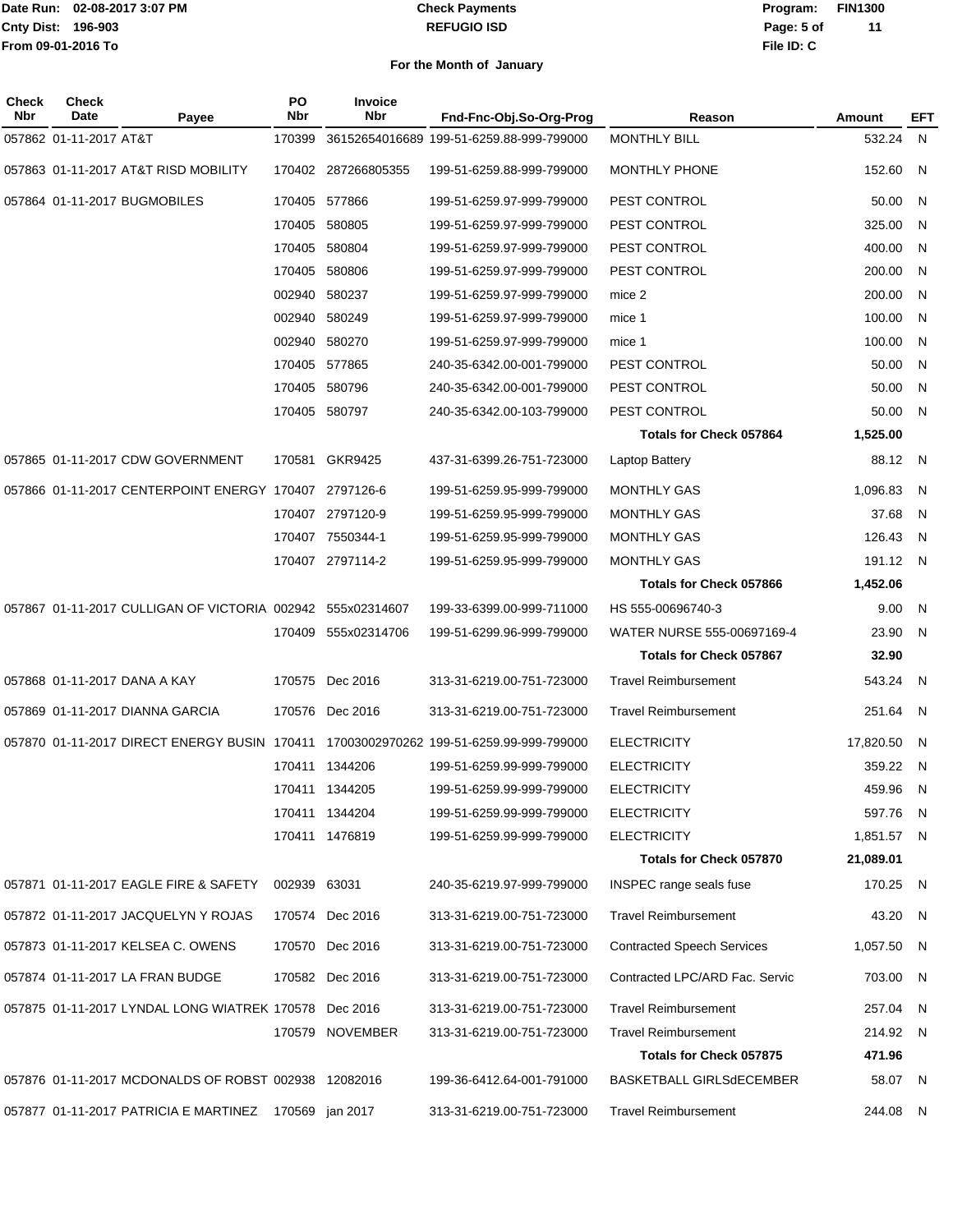#### **REFUGIO ISD Check Payments**

**02-08-2017 3:07 PM Program: FIN1300 File ID: C Page: 5 of 11**

| Check<br>Nbr | Check<br>Date          | Payee                                                      | <b>PO</b><br><b>Nbr</b> | Invoice<br><b>Nbr</b> | Fnd-Fnc-Obj.So-Org-Prog                  | Reason                            | Amount     | EFT            |
|--------------|------------------------|------------------------------------------------------------|-------------------------|-----------------------|------------------------------------------|-----------------------------------|------------|----------------|
|              | 057862 01-11-2017 AT&T |                                                            | 170399                  |                       | 36152654016689 199-51-6259.88-999-799000 | <b>MONTHLY BILL</b>               | 532.24     | N              |
|              |                        | 057863 01-11-2017 AT&T RISD MOBILITY                       |                         | 170402 287266805355   | 199-51-6259.88-999-799000                | MONTHLY PHONE                     | 152.60     | N.             |
|              |                        | 057864 01-11-2017 BUGMOBILES                               |                         | 170405 577866         | 199-51-6259.97-999-799000                | PEST CONTROL                      | 50.00      | N              |
|              |                        |                                                            |                         | 170405 580805         | 199-51-6259.97-999-799000                | PEST CONTROL                      | 325.00     | N              |
|              |                        |                                                            |                         | 170405 580804         | 199-51-6259.97-999-799000                | PEST CONTROL                      | 400.00     | N              |
|              |                        |                                                            |                         | 170405 580806         | 199-51-6259.97-999-799000                | PEST CONTROL                      | 200.00     | N              |
|              |                        |                                                            | 002940                  | 580237                | 199-51-6259.97-999-799000                | mice 2                            | 200.00     | N              |
|              |                        |                                                            |                         | 002940 580249         | 199-51-6259.97-999-799000                | mice 1                            | 100.00     | N              |
|              |                        |                                                            |                         | 002940 580270         | 199-51-6259.97-999-799000                | mice 1                            | 100.00     | N              |
|              |                        |                                                            |                         | 170405 577865         | 240-35-6342.00-001-799000                | PEST CONTROL                      | 50.00      | N              |
|              |                        |                                                            |                         | 170405 580796         | 240-35-6342.00-001-799000                | PEST CONTROL                      | 50.00      | N              |
|              |                        |                                                            |                         | 170405 580797         | 240-35-6342.00-103-799000                | PEST CONTROL                      | 50.00      | N              |
|              |                        |                                                            |                         |                       |                                          | <b>Totals for Check 057864</b>    | 1,525.00   |                |
|              |                        | 057865 01-11-2017 CDW GOVERNMENT                           |                         | 170581 GKR9425        | 437-31-6399.26-751-723000                | <b>Laptop Battery</b>             | 88.12 N    |                |
|              |                        | 057866 01-11-2017 CENTERPOINT ENERGY 170407                |                         | 2797126-6             | 199-51-6259.95-999-799000                | <b>MONTHLY GAS</b>                | 1,096.83   | N              |
|              |                        |                                                            |                         | 170407 2797120-9      | 199-51-6259.95-999-799000                | <b>MONTHLY GAS</b>                | 37.68      | N              |
|              |                        |                                                            |                         | 170407 7550344-1      | 199-51-6259.95-999-799000                | <b>MONTHLY GAS</b>                | 126.43     | N.             |
|              |                        |                                                            |                         | 170407 2797114-2      | 199-51-6259.95-999-799000                | <b>MONTHLY GAS</b>                | 191.12 N   |                |
|              |                        |                                                            |                         |                       |                                          | <b>Totals for Check 057866</b>    | 1,452.06   |                |
|              |                        | 057867 01-11-2017 CULLIGAN OF VICTORIA 002942 555x02314607 |                         |                       | 199-33-6399.00-999-711000                | HS 555-00696740-3                 | 9.00       | N              |
|              |                        |                                                            | 170409                  | 555x02314706          | 199-51-6299.96-999-799000                | WATER NURSE 555-00697169-4        | 23.90      | N.             |
|              |                        |                                                            |                         |                       |                                          | <b>Totals for Check 057867</b>    | 32.90      |                |
|              |                        | 057868 01-11-2017 DANA A KAY                               |                         | 170575 Dec 2016       | 313-31-6219.00-751-723000                | <b>Travel Reimbursement</b>       | 543.24     | - N            |
|              |                        | 057869 01-11-2017 DIANNA GARCIA                            |                         | 170576 Dec 2016       | 313-31-6219.00-751-723000                | <b>Travel Reimbursement</b>       | 251.64     | $\overline{N}$ |
|              |                        | 057870  01-11-2017    DIRECT ENERGY BUSIN    170411        |                         |                       | 17003002970262 199-51-6259.99-999-799000 | <b>ELECTRICITY</b>                | 17,820.50  | -N             |
|              |                        |                                                            |                         | 170411 1344206        | 199-51-6259.99-999-799000                | <b>ELECTRICITY</b>                | 359.22     | N              |
|              |                        |                                                            |                         | 170411 1344205        | 199-51-6259.99-999-799000                | <b>ELECTRICITY</b>                | 459.96 N   |                |
|              |                        |                                                            |                         | 170411 1344204        | 199-51-6259.99-999-799000                | <b>ELECTRICITY</b>                | 597.76 N   |                |
|              |                        |                                                            |                         | 170411 1476819        | 199-51-6259.99-999-799000                | <b>ELECTRICITY</b>                | 1,851.57 N |                |
|              |                        |                                                            |                         |                       |                                          | Totals for Check 057870           | 21,089.01  |                |
|              |                        | 057871 01-11-2017 EAGLE FIRE & SAFETY                      | 002939 63031            |                       | 240-35-6219.97-999-799000                | INSPEC range seals fuse           | 170.25 N   |                |
|              |                        | 057872 01-11-2017 JACQUELYN Y ROJAS                        |                         | 170574 Dec 2016       | 313-31-6219.00-751-723000                | <b>Travel Reimbursement</b>       | 43.20 N    |                |
|              |                        | 057873 01-11-2017 KELSEA C. OWENS                          |                         | 170570 Dec 2016       | 313-31-6219.00-751-723000                | <b>Contracted Speech Services</b> | 1,057.50 N |                |
|              |                        | 057874 01-11-2017 LA FRAN BUDGE                            |                         | 170582 Dec 2016       | 313-31-6219.00-751-723000                | Contracted LPC/ARD Fac. Servic    | 703.00 N   |                |
|              |                        | 057875 01-11-2017 LYNDAL LONG WIATREK 170578 Dec 2016      |                         |                       | 313-31-6219.00-751-723000                | <b>Travel Reimbursement</b>       | 257.04 N   |                |
|              |                        |                                                            |                         | 170579 NOVEMBER       | 313-31-6219.00-751-723000                | <b>Travel Reimbursement</b>       | 214.92 N   |                |
|              |                        |                                                            |                         |                       |                                          | Totals for Check 057875           | 471.96     |                |
|              |                        | 057876 01-11-2017 MCDONALDS OF ROBST 002938 12082016       |                         |                       | 199-36-6412.64-001-791000                | BASKETBALL GIRLSdECEMBER          | 58.07 N    |                |
|              |                        | 057877 01-11-2017 PATRICIA E MARTINEZ 170569 jan 2017      |                         |                       | 313-31-6219.00-751-723000                | <b>Travel Reimbursement</b>       | 244.08 N   |                |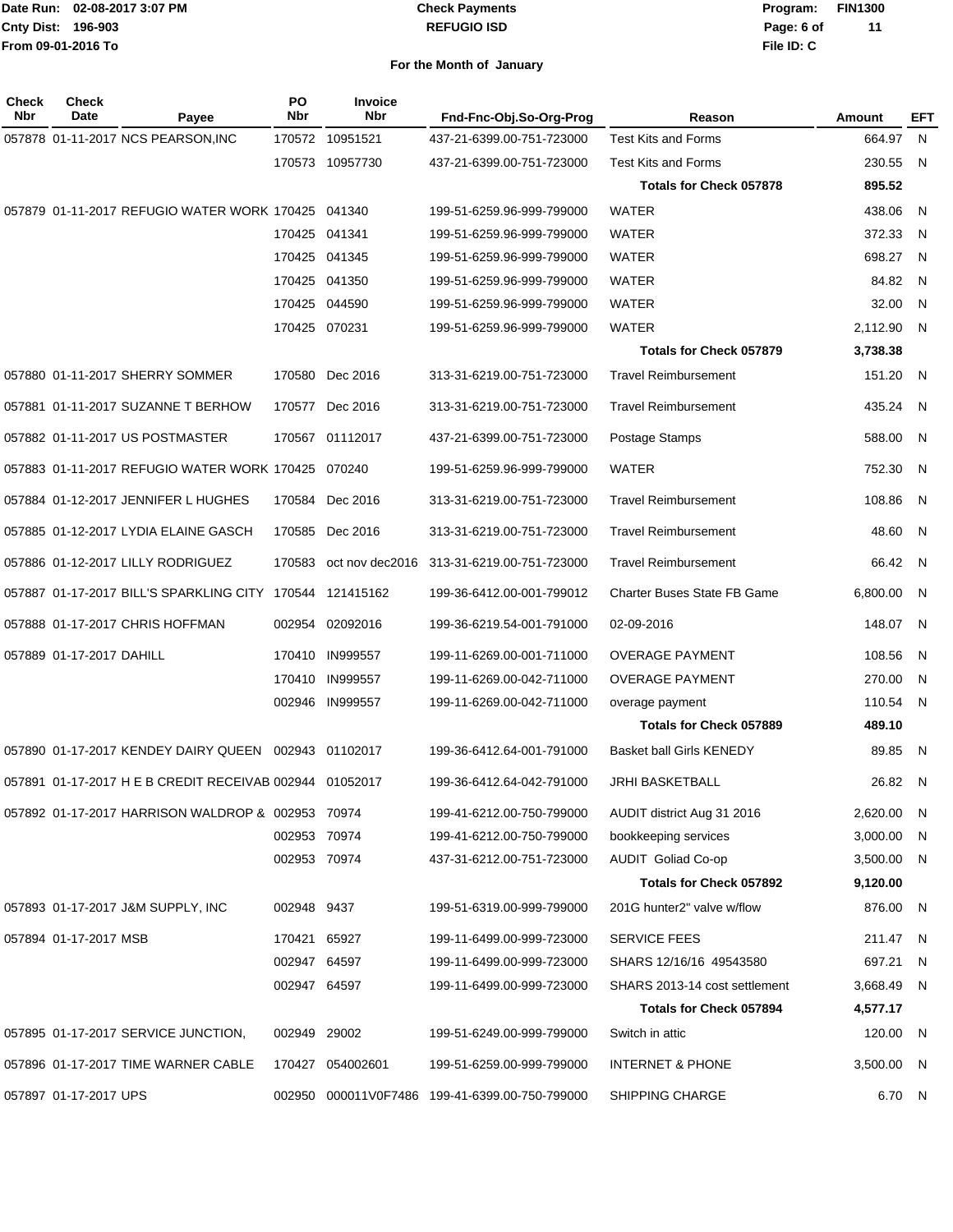#### **REFUGIO ISD Check Payments**

**02-08-2017 3:07 PM Program: FIN1300 File ID: C Page: 6 of 11**

| Check<br>Nbr | <b>Check</b><br>Date     | Payee                                                    | <b>PO</b><br><b>Nbr</b> | <b>Invoice</b><br><b>Nbr</b> | Fnd-Fnc-Obj.So-Org-Prog                          | Reason                             | Amount   | EFT |
|--------------|--------------------------|----------------------------------------------------------|-------------------------|------------------------------|--------------------------------------------------|------------------------------------|----------|-----|
|              |                          | 057878 01-11-2017 NCS PEARSON, INC                       |                         | 170572 10951521              | 437-21-6399.00-751-723000                        | <b>Test Kits and Forms</b>         | 664.97   | N.  |
|              |                          |                                                          |                         | 170573 10957730              | 437-21-6399.00-751-723000                        | <b>Test Kits and Forms</b>         | 230.55   | N   |
|              |                          |                                                          |                         |                              |                                                  | <b>Totals for Check 057878</b>     | 895.52   |     |
|              |                          | 057879 01-11-2017 REFUGIO WATER WORK 170425 041340       |                         |                              | 199-51-6259.96-999-799000                        | <b>WATER</b>                       | 438.06   | N   |
|              |                          |                                                          |                         | 170425 041341                | 199-51-6259.96-999-799000                        | <b>WATER</b>                       | 372.33   | N   |
|              |                          |                                                          |                         | 170425 041345                | 199-51-6259.96-999-799000                        | <b>WATER</b>                       | 698.27   | N   |
|              |                          |                                                          |                         | 170425 041350                | 199-51-6259.96-999-799000                        | <b>WATER</b>                       | 84.82    | N   |
|              |                          |                                                          |                         | 170425 044590                | 199-51-6259.96-999-799000                        | <b>WATER</b>                       | 32.00    | N   |
|              |                          |                                                          |                         | 170425 070231                | 199-51-6259.96-999-799000                        | <b>WATER</b>                       | 2,112.90 | N   |
|              |                          |                                                          |                         |                              |                                                  | Totals for Check 057879            | 3,738.38 |     |
|              |                          | 057880 01-11-2017 SHERRY SOMMER                          | 170580                  | Dec 2016                     | 313-31-6219.00-751-723000                        | <b>Travel Reimbursement</b>        | 151.20   | N   |
|              |                          | 057881 01-11-2017 SUZANNE T BERHOW                       |                         | 170577 Dec 2016              | 313-31-6219.00-751-723000                        | <b>Travel Reimbursement</b>        | 435.24   | N   |
|              |                          | 057882 01-11-2017 US POSTMASTER                          |                         | 170567 01112017              | 437-21-6399.00-751-723000                        | Postage Stamps                     | 588.00   | N   |
|              |                          | 057883 01-11-2017 REFUGIO WATER WORK 170425 070240       |                         |                              | 199-51-6259.96-999-799000                        | <b>WATER</b>                       | 752.30   | N   |
|              |                          | 057884 01-12-2017 JENNIFER L HUGHES                      | 170584                  | Dec 2016                     | 313-31-6219.00-751-723000                        | <b>Travel Reimbursement</b>        | 108.86   | N   |
|              |                          | 057885 01-12-2017 LYDIA ELAINE GASCH                     |                         | 170585 Dec 2016              | 313-31-6219.00-751-723000                        | <b>Travel Reimbursement</b>        | 48.60    | N   |
|              |                          | 057886 01-12-2017 LILLY RODRIGUEZ                        | 170583                  |                              | oct nov dec2016 313-31-6219.00-751-723000        | <b>Travel Reimbursement</b>        | 66.42    | N   |
|              |                          | 057887 01-17-2017 BILL'S SPARKLING CITY 170544 121415162 |                         |                              | 199-36-6412.00-001-799012                        | <b>Charter Buses State FB Game</b> | 6,800.00 | N   |
|              |                          | 057888 01-17-2017 CHRIS HOFFMAN                          |                         | 002954 02092016              | 199-36-6219.54-001-791000                        | 02-09-2016                         | 148.07   | N   |
|              | 057889 01-17-2017 DAHILL |                                                          | 170410                  | <b>IN999557</b>              | 199-11-6269.00-001-711000                        | <b>OVERAGE PAYMENT</b>             | 108.56   | N   |
|              |                          |                                                          |                         | 170410 IN999557              | 199-11-6269.00-042-711000                        | <b>OVERAGE PAYMENT</b>             | 270.00   | N   |
|              |                          |                                                          |                         | 002946 IN999557              | 199-11-6269.00-042-711000                        | overage payment                    | 110.54   | N   |
|              |                          |                                                          |                         |                              |                                                  | <b>Totals for Check 057889</b>     | 489.10   |     |
|              |                          | 057890 01-17-2017 KENDEY DAIRY QUEEN 002943 01102017     |                         |                              | 199-36-6412.64-001-791000                        | Basket ball Girls KENEDY           | 89.85    | N   |
|              |                          | 057891 01-17-2017 H E B CREDIT RECEIVAB 002944 01052017  |                         |                              | 199-36-6412.64-042-791000                        | <b>JRHI BASKETBALL</b>             | 26.82    | N   |
|              |                          | 057892 01-17-2017 HARRISON WALDROP & 002953 70974        |                         |                              | 199-41-6212.00-750-799000                        | AUDIT district Aug 31 2016         | 2,620.00 | N   |
|              |                          |                                                          | 002953 70974            |                              | 199-41-6212.00-750-799000                        | bookkeeping services               | 3,000.00 | N   |
|              |                          |                                                          | 002953 70974            |                              | 437-31-6212.00-751-723000                        | <b>AUDIT Goliad Co-op</b>          | 3,500.00 | N   |
|              |                          |                                                          |                         |                              |                                                  | Totals for Check 057892            | 9,120.00 |     |
|              |                          | 057893 01-17-2017 J&M SUPPLY, INC                        | 002948 9437             |                              | 199-51-6319.00-999-799000                        | 201G hunter2" valve w/flow         | 876.00   | N   |
|              | 057894 01-17-2017 MSB    |                                                          | 170421                  | 65927                        | 199-11-6499.00-999-723000                        | <b>SERVICE FEES</b>                | 211.47   | N   |
|              |                          |                                                          | 002947 64597            |                              | 199-11-6499.00-999-723000                        | SHARS 12/16/16 49543580            | 697.21   | N   |
|              |                          |                                                          | 002947 64597            |                              | 199-11-6499.00-999-723000                        | SHARS 2013-14 cost settlement      | 3,668.49 | N   |
|              |                          |                                                          |                         |                              |                                                  | Totals for Check 057894            | 4,577.17 |     |
|              |                          | 057895 01-17-2017 SERVICE JUNCTION,                      | 002949                  | 29002                        | 199-51-6249.00-999-799000                        | Switch in attic                    | 120.00   | N,  |
|              |                          | 057896 01-17-2017 TIME WARNER CABLE                      |                         | 170427 054002601             | 199-51-6259.00-999-799000                        | <b>INTERNET &amp; PHONE</b>        | 3,500.00 | N   |
|              | 057897 01-17-2017 UPS    |                                                          |                         |                              | 002950  000011V0F7486  199-41-6399.00-750-799000 | SHIPPING CHARGE                    | 6.70     | N   |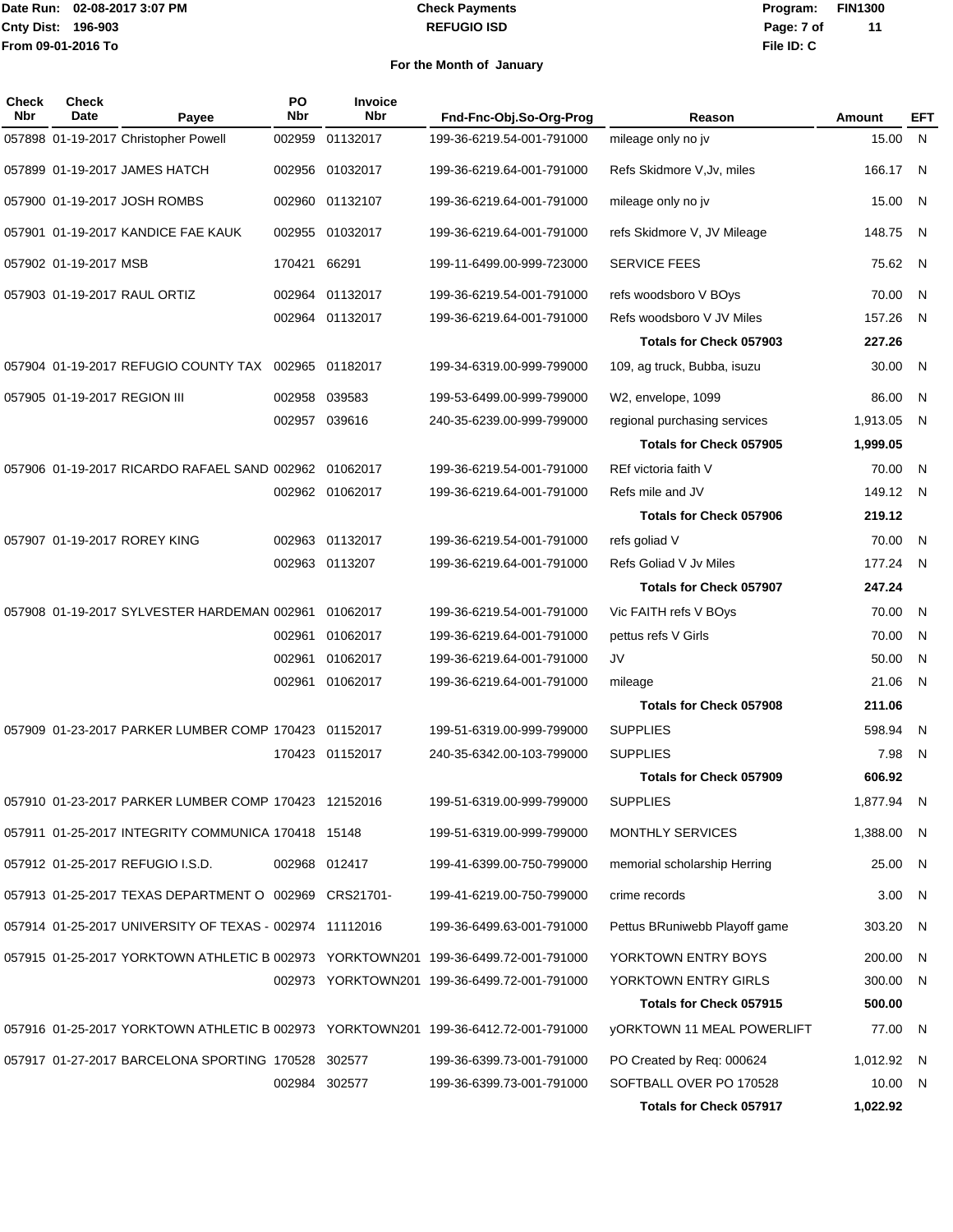#### **REFUGIO ISD Check Payments**

**02-08-2017 3:07 PM Program: FIN1300 File ID: C Page: 7 of 11**

| Check<br>Nbr | <b>Check</b><br>Date         | Payee                                                   | PO<br>Nbr     | Invoice<br><b>Nbr</b> | Fnd-Fnc-Obj.So-Org-Prog                                                            | Reason                            | Amount     | <b>EFT</b>   |
|--------------|------------------------------|---------------------------------------------------------|---------------|-----------------------|------------------------------------------------------------------------------------|-----------------------------------|------------|--------------|
|              |                              | 057898 01-19-2017 Christopher Powell                    | 002959        | 01132017              | 199-36-6219.54-001-791000                                                          | mileage only no jv                | 15.00      | N            |
|              |                              | 057899 01-19-2017 JAMES HATCH                           | 002956        | 01032017              | 199-36-6219.64-001-791000                                                          | Refs Skidmore V, Jv, miles        | 166.17     | - N          |
|              |                              | 057900 01-19-2017 JOSH ROMBS                            |               | 002960 01132107       | 199-36-6219.64-001-791000                                                          | mileage only no jv                | 15.00      | - N          |
|              |                              | 057901 01-19-2017 KANDICE FAE KAUK                      | 002955        | 01032017              | 199-36-6219.64-001-791000                                                          | refs Skidmore V, JV Mileage       | 148.75     | N            |
|              | 057902 01-19-2017 MSB        |                                                         | 170421        | 66291                 | 199-11-6499.00-999-723000                                                          | <b>SERVICE FEES</b>               | 75.62      | N            |
|              |                              | 057903 01-19-2017 RAUL ORTIZ                            | 002964        | 01132017              | 199-36-6219.54-001-791000                                                          | refs woodsboro V BOys             | 70.00      | -N           |
|              |                              |                                                         |               | 002964 01132017       | 199-36-6219.64-001-791000                                                          | Refs woodsboro V JV Miles         | 157.26     | -N           |
|              |                              |                                                         |               |                       |                                                                                    | Totals for Check 057903           | 227.26     |              |
|              |                              | 057904 01-19-2017 REFUGIO COUNTY TAX 002965 01182017    |               |                       | 199-34-6319.00-999-799000                                                          | 109, ag truck, Bubba, isuzu       | 30.00      | - N          |
|              | 057905 01-19-2017 REGION III |                                                         | 002958        | 039583                | 199-53-6499.00-999-799000                                                          | W2, envelope, 1099                | 86.00      | -N           |
|              |                              |                                                         | 002957 039616 |                       | 240-35-6239.00-999-799000                                                          | regional purchasing services      | 1,913.05   | N.           |
|              |                              |                                                         |               |                       |                                                                                    | Totals for Check 057905           | 1,999.05   |              |
|              |                              | 057906 01-19-2017 RICARDO RAFAEL SAND 002962 01062017   |               |                       | 199-36-6219.54-001-791000                                                          | REf victoria faith V              | 70.00      | - N          |
|              |                              |                                                         |               | 002962 01062017       | 199-36-6219.64-001-791000                                                          | Refs mile and JV                  | 149.12 N   |              |
|              |                              |                                                         |               |                       |                                                                                    | <b>Totals for Check 057906</b>    | 219.12     |              |
|              |                              | 057907 01-19-2017 ROREY KING                            |               | 002963 01132017       | 199-36-6219.54-001-791000                                                          | refs goliad V                     | 70.00      | N            |
|              |                              |                                                         |               | 002963 0113207        | 199-36-6219.64-001-791000                                                          | Refs Goliad V Jv Miles            | 177.24     | -N           |
|              |                              |                                                         |               |                       |                                                                                    | <b>Totals for Check 057907</b>    | 247.24     |              |
|              |                              | 057908 01-19-2017 SYLVESTER HARDEMAN 002961             |               | 01062017              | 199-36-6219.54-001-791000                                                          | Vic FAITH refs V BOys             | 70.00      | N            |
|              |                              |                                                         | 002961        | 01062017              | 199-36-6219.64-001-791000                                                          | pettus refs V Girls               | 70.00      | N            |
|              |                              |                                                         | 002961        | 01062017              | 199-36-6219.64-001-791000                                                          | JV                                | 50.00      | N            |
|              |                              |                                                         |               | 002961 01062017       | 199-36-6219.64-001-791000                                                          | mileage                           | 21.06      | N            |
|              |                              |                                                         |               |                       |                                                                                    | Totals for Check 057908           | 211.06     |              |
|              |                              | 057909 01-23-2017 PARKER LUMBER COMP 170423 01152017    |               |                       | 199-51-6319.00-999-799000                                                          | <b>SUPPLIES</b>                   | 598.94     | -N           |
|              |                              |                                                         |               | 170423 01152017       | 240-35-6342.00-103-799000                                                          | <b>SUPPLIES</b>                   | 7.98       | N.           |
|              |                              |                                                         |               |                       |                                                                                    | Totals for Check 057909           | 606.92     |              |
|              |                              | 057910 01-23-2017 PARKER LUMBER COMP 170423 12152016    |               |                       | 199-51-6319.00-999-799000                                                          | <b>SUPPLIES</b>                   | 1,877.94 N |              |
|              |                              | 057911 01-25-2017 INTEGRITY COMMUNICA 170418 15148      |               |                       | 199-51-6319.00-999-799000                                                          | MONTHLY SERVICES                  | 1,388.00 N |              |
|              |                              | 057912 01-25-2017 REFUGIO I.S.D.                        |               | 002968 012417         | 199-41-6399.00-750-799000                                                          | memorial scholarship Herring      | 25.00 N    |              |
|              |                              | 057913 01-25-2017 TEXAS DEPARTMENT O 002969 CRS21701-   |               |                       | 199-41-6219.00-750-799000                                                          | crime records                     | 3.00 N     |              |
|              |                              | 057914 01-25-2017 UNIVERSITY OF TEXAS - 002974 11112016 |               |                       | 199-36-6499.63-001-791000                                                          | Pettus BRuniwebb Playoff game     | 303.20     | - N          |
|              |                              |                                                         |               |                       | 057915 01-25-2017 YORKTOWN ATHLETIC B 002973 YORKTOWN201 199-36-6499.72-001-791000 | YORKTOWN ENTRY BOYS               | 200.00     | - N          |
|              |                              |                                                         |               |                       | 002973 YORKTOWN201 199-36-6499.72-001-791000                                       | YORKTOWN ENTRY GIRLS              | 300.00     | $\mathsf{N}$ |
|              |                              |                                                         |               |                       |                                                                                    | Totals for Check 057915           | 500.00     |              |
|              |                              |                                                         |               |                       | 057916 01-25-2017 YORKTOWN ATHLETIC B 002973 YORKTOWN201 199-36-6412.72-001-791000 | <b>yORKTOWN 11 MEAL POWERLIFT</b> | 77.00 N    |              |
|              |                              | 057917 01-27-2017 BARCELONA SPORTING 170528 302577      |               |                       | 199-36-6399.73-001-791000                                                          | PO Created by Req: 000624         | 1,012.92 N |              |
|              |                              |                                                         |               | 002984 302577         | 199-36-6399.73-001-791000                                                          | SOFTBALL OVER PO 170528           | 10.00 N    |              |
|              |                              |                                                         |               |                       |                                                                                    | Totals for Check 057917           | 1,022.92   |              |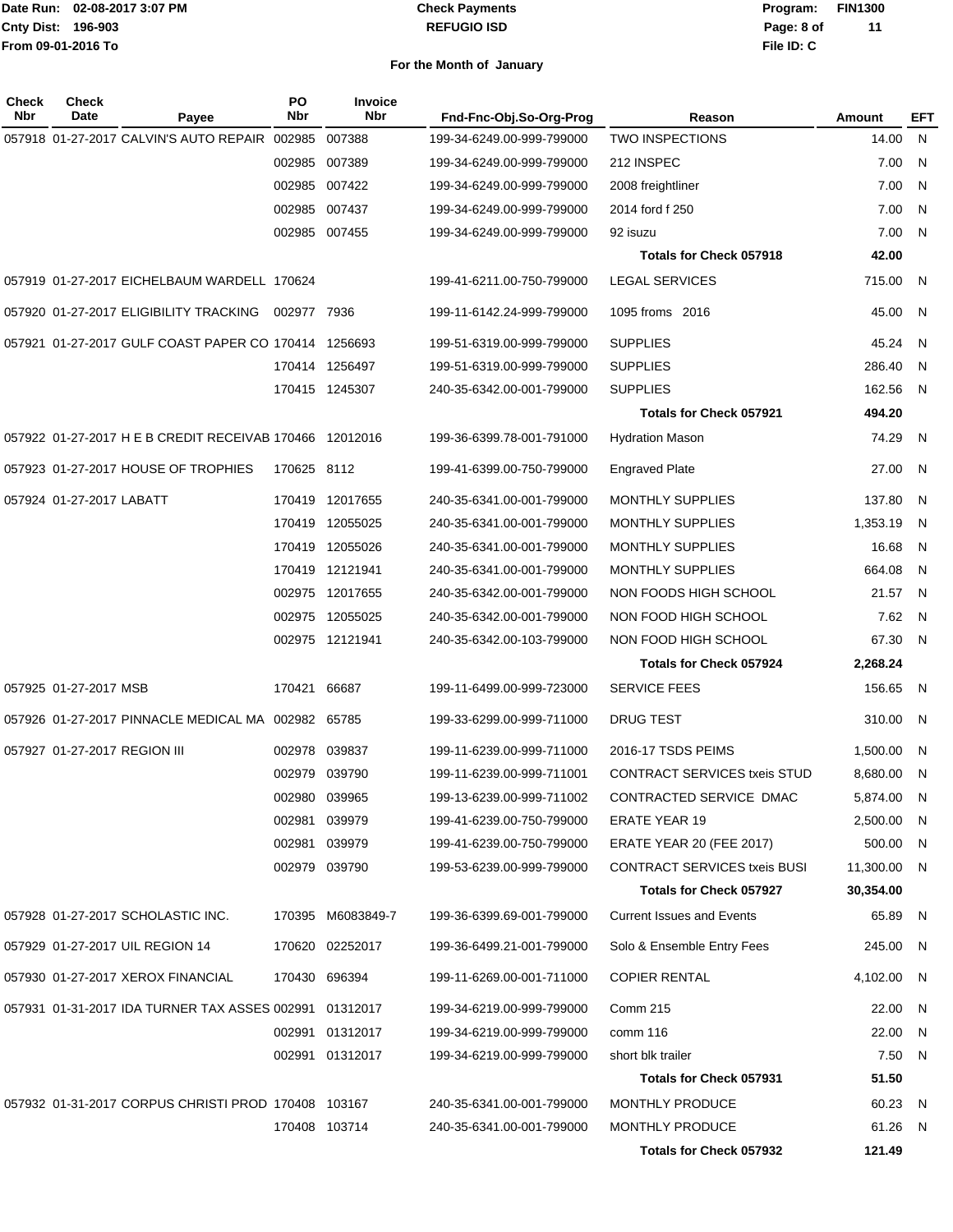#### **REFUGIO ISD Check Payments**

**02-08-2017 3:07 PM Program: FIN1300 File ID: C Page: 8 of 11**

| Check<br>Nbr | <b>Check</b><br>Date         | Payee                                                   | PO<br>Nbr    | <b>Invoice</b><br><b>Nbr</b> | Fnd-Fnc-Obj.So-Org-Prog   | Reason                              | Amount      | <b>EFT</b>     |
|--------------|------------------------------|---------------------------------------------------------|--------------|------------------------------|---------------------------|-------------------------------------|-------------|----------------|
|              |                              | 057918 01-27-2017 CALVIN'S AUTO REPAIR 002985           |              | 007388                       | 199-34-6249.00-999-799000 | <b>TWO INSPECTIONS</b>              | 14.00       | N              |
|              |                              |                                                         |              | 002985 007389                | 199-34-6249.00-999-799000 | 212 INSPEC                          | 7.00        | N              |
|              |                              |                                                         |              | 002985 007422                | 199-34-6249.00-999-799000 | 2008 freightliner                   | 7.00        | N              |
|              |                              |                                                         |              | 002985 007437                | 199-34-6249.00-999-799000 | 2014 ford f 250                     | 7.00        | N              |
|              |                              |                                                         |              | 002985 007455                | 199-34-6249.00-999-799000 | 92 isuzu                            | 7.00        | N              |
|              |                              |                                                         |              |                              |                           | <b>Totals for Check 057918</b>      | 42.00       |                |
|              |                              | 057919 01-27-2017 EICHELBAUM WARDELL 170624             |              |                              | 199-41-6211.00-750-799000 | <b>LEGAL SERVICES</b>               | 715.00      | -N             |
|              |                              | 057920 01-27-2017 ELIGIBILITY TRACKING                  | 002977 7936  |                              | 199-11-6142.24-999-799000 | 1095 froms 2016                     | 45.00       | N.             |
|              |                              | 057921 01-27-2017 GULF COAST PAPER CO 170414 1256693    |              |                              | 199-51-6319.00-999-799000 | <b>SUPPLIES</b>                     | 45.24       | N              |
|              |                              |                                                         |              | 170414 1256497               | 199-51-6319.00-999-799000 | <b>SUPPLIES</b>                     | 286.40      | N              |
|              |                              |                                                         |              | 170415 1245307               | 240-35-6342.00-001-799000 | <b>SUPPLIES</b>                     | 162.56      | N.             |
|              |                              |                                                         |              |                              |                           | <b>Totals for Check 057921</b>      | 494.20      |                |
|              |                              | 057922 01-27-2017 H E B CREDIT RECEIVAB 170466 12012016 |              |                              | 199-36-6399.78-001-791000 | <b>Hydration Mason</b>              | 74.29       | N              |
|              |                              | 057923 01-27-2017 HOUSE OF TROPHIES                     | 170625 8112  |                              | 199-41-6399.00-750-799000 | <b>Engraved Plate</b>               | 27.00       | N              |
|              | 057924 01-27-2017 LABATT     |                                                         |              | 170419 12017655              | 240-35-6341.00-001-799000 | <b>MONTHLY SUPPLIES</b>             | 137.80      | -N             |
|              |                              |                                                         |              | 170419 12055025              | 240-35-6341.00-001-799000 | MONTHLY SUPPLIES                    | 1,353.19    | -N             |
|              |                              |                                                         |              | 170419 12055026              | 240-35-6341.00-001-799000 | MONTHLY SUPPLIES                    | 16.68       | -N             |
|              |                              |                                                         |              | 170419 12121941              | 240-35-6341.00-001-799000 | <b>MONTHLY SUPPLIES</b>             | 664.08      | -N             |
|              |                              |                                                         |              | 002975 12017655              | 240-35-6342.00-001-799000 | NON FOODS HIGH SCHOOL               | 21.57       | - N            |
|              |                              |                                                         |              | 002975 12055025              | 240-35-6342.00-001-799000 | NON FOOD HIGH SCHOOL                | 7.62        | N              |
|              |                              |                                                         |              | 002975 12121941              | 240-35-6342.00-103-799000 | NON FOOD HIGH SCHOOL                | 67.30       | $\overline{N}$ |
|              |                              |                                                         |              |                              |                           | <b>Totals for Check 057924</b>      | 2,268.24    |                |
|              | 057925 01-27-2017 MSB        |                                                         | 170421 66687 |                              | 199-11-6499.00-999-723000 | <b>SERVICE FEES</b>                 | 156.65      | -N             |
|              |                              | 057926 01-27-2017 PINNACLE MEDICAL MA 002982 65785      |              |                              | 199-33-6299.00-999-711000 | <b>DRUG TEST</b>                    | 310.00      | -N             |
|              | 057927 01-27-2017 REGION III |                                                         |              | 002978 039837                | 199-11-6239.00-999-711000 | 2016-17 TSDS PEIMS                  | 1,500.00    | -N             |
|              |                              |                                                         |              | 002979 039790                | 199-11-6239.00-999-711001 | <b>CONTRACT SERVICES txeis STUD</b> | 8,680.00    | -N             |
|              |                              |                                                         |              | 002980 039965                | 199-13-6239.00-999-711002 | CONTRACTED SERVICE DMAC             | 5,874.00    | - N            |
|              |                              |                                                         |              | 002981 039979                | 199-41-6239.00-750-799000 | <b>ERATE YEAR 19</b>                | 2,500.00    | - N            |
|              |                              |                                                         |              | 002981 039979                | 199-41-6239.00-750-799000 | ERATE YEAR 20 (FEE 2017)            | 500.00 N    |                |
|              |                              |                                                         |              | 002979 039790                | 199-53-6239.00-999-799000 | <b>CONTRACT SERVICES txeis BUSI</b> | 11,300.00 N |                |
|              |                              |                                                         |              |                              |                           | <b>Totals for Check 057927</b>      | 30,354.00   |                |
|              |                              | 057928 01-27-2017 SCHOLASTIC INC.                       |              | 170395 M6083849-7            | 199-36-6399.69-001-799000 | <b>Current Issues and Events</b>    | 65.89 N     |                |
|              |                              | 057929 01-27-2017 UIL REGION 14                         |              | 170620 02252017              | 199-36-6499.21-001-799000 | Solo & Ensemble Entry Fees          | 245.00 N    |                |
|              |                              | 057930 01-27-2017 XEROX FINANCIAL                       |              | 170430 696394                | 199-11-6269.00-001-711000 | <b>COPIER RENTAL</b>                | 4,102.00    | N,             |
|              |                              | 057931 01-31-2017 IDA TURNER TAX ASSES 002991 01312017  |              |                              | 199-34-6219.00-999-799000 | Comm 215                            | 22.00 N     |                |
|              |                              |                                                         |              | 002991 01312017              | 199-34-6219.00-999-799000 | comm 116                            | 22.00       | N,             |
|              |                              |                                                         |              | 002991 01312017              | 199-34-6219.00-999-799000 | short blk trailer                   | 7.50 N      |                |
|              |                              |                                                         |              |                              |                           | <b>Totals for Check 057931</b>      | 51.50       |                |
|              |                              | 057932 01-31-2017 CORPUS CHRISTI PROD 170408 103167     |              |                              | 240-35-6341.00-001-799000 | <b>MONTHLY PRODUCE</b>              | 60.23 N     |                |
|              |                              |                                                         |              | 170408 103714                | 240-35-6341.00-001-799000 | MONTHLY PRODUCE                     | 61.26 N     |                |
|              |                              |                                                         |              |                              |                           | <b>Totals for Check 057932</b>      | 121.49      |                |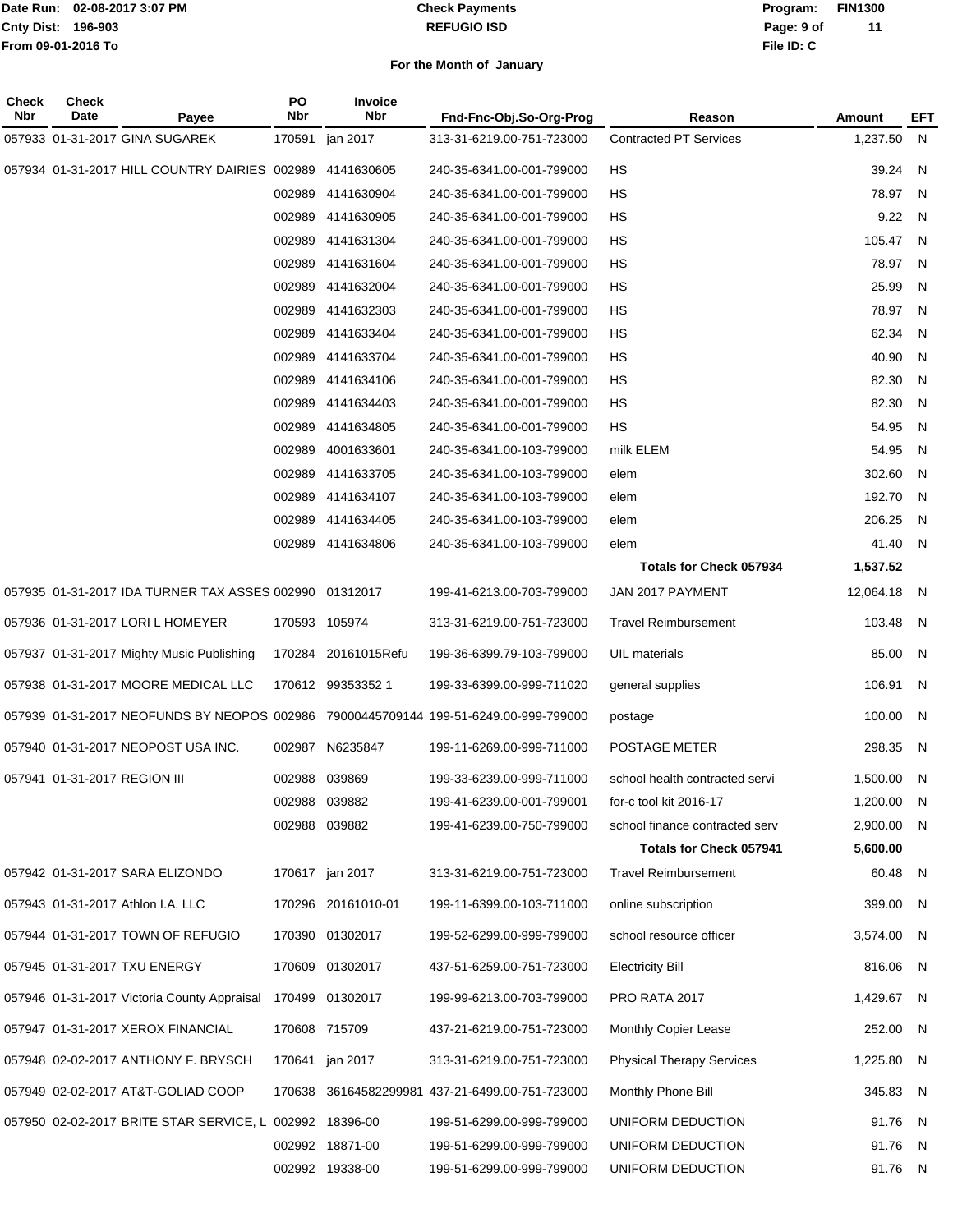#### **REFUGIO ISD Check Payments**

**02-08-2017 3:07 PM Program: FIN1300 File ID: C Page: 9 of 11**

| Check<br>Nbr | <b>Check</b><br>Date         | Payee                                                   | <b>PO</b><br><b>Nbr</b> | <b>Invoice</b><br>Nbr | Fnd-Fnc-Obj.So-Org-Prog                                                              | Reason                           | Amount     | <b>EFT</b> |
|--------------|------------------------------|---------------------------------------------------------|-------------------------|-----------------------|--------------------------------------------------------------------------------------|----------------------------------|------------|------------|
|              |                              | 057933 01-31-2017 GINA SUGAREK                          | 170591                  | jan 2017              | 313-31-6219.00-751-723000                                                            | <b>Contracted PT Services</b>    | 1,237.50   | N          |
|              |                              | 057934 01-31-2017 HILL COUNTRY DAIRIES 002989           |                         | 4141630605            | 240-35-6341.00-001-799000                                                            | HS                               | 39.24      | N          |
|              |                              |                                                         | 002989                  | 4141630904            | 240-35-6341.00-001-799000                                                            | НS                               | 78.97      | N          |
|              |                              |                                                         | 002989                  | 4141630905            | 240-35-6341.00-001-799000                                                            | НS                               | 9.22       | N          |
|              |                              |                                                         | 002989                  | 4141631304            | 240-35-6341.00-001-799000                                                            | HS                               | 105.47     | N          |
|              |                              |                                                         | 002989                  | 4141631604            | 240-35-6341.00-001-799000                                                            | НS                               | 78.97      | N          |
|              |                              |                                                         | 002989                  | 4141632004            | 240-35-6341.00-001-799000                                                            | HS                               | 25.99      | N          |
|              |                              |                                                         | 002989                  | 4141632303            | 240-35-6341.00-001-799000                                                            | НS                               | 78.97      | N          |
|              |                              |                                                         | 002989                  | 4141633404            | 240-35-6341.00-001-799000                                                            | HS                               | 62.34      | N          |
|              |                              |                                                         | 002989                  | 4141633704            | 240-35-6341.00-001-799000                                                            | НS                               | 40.90      | N          |
|              |                              |                                                         | 002989                  | 4141634106            | 240-35-6341.00-001-799000                                                            | HS                               | 82.30      | N          |
|              |                              |                                                         | 002989                  | 4141634403            | 240-35-6341.00-001-799000                                                            | НS                               | 82.30      | N          |
|              |                              |                                                         | 002989                  | 4141634805            | 240-35-6341.00-001-799000                                                            | HS                               | 54.95      | N          |
|              |                              |                                                         | 002989                  | 4001633601            | 240-35-6341.00-103-799000                                                            | milk ELEM                        | 54.95      | N          |
|              |                              |                                                         | 002989                  | 4141633705            | 240-35-6341.00-103-799000                                                            | elem                             | 302.60     | N          |
|              |                              |                                                         | 002989                  | 4141634107            | 240-35-6341.00-103-799000                                                            | elem                             | 192.70     | N          |
|              |                              |                                                         | 002989                  | 4141634405            | 240-35-6341.00-103-799000                                                            | elem                             | 206.25     | N          |
|              |                              |                                                         |                         | 002989 4141634806     | 240-35-6341.00-103-799000                                                            | elem                             | 41.40      | N          |
|              |                              |                                                         |                         |                       |                                                                                      | <b>Totals for Check 057934</b>   | 1,537.52   |            |
|              |                              | 057935 01-31-2017 IDA TURNER TAX ASSES 002990 01312017  |                         |                       | 199-41-6213.00-703-799000                                                            | JAN 2017 PAYMENT                 | 12,064.18  | N          |
|              |                              | 057936 01-31-2017 LORI L HOMEYER                        |                         | 170593 105974         | 313-31-6219.00-751-723000                                                            | <b>Travel Reimbursement</b>      | 103.48     | N          |
|              |                              | 057937 01-31-2017 Mighty Music Publishing               | 170284                  | 20161015Refu          | 199-36-6399.79-103-799000                                                            | UIL materials                    | 85.00      | N.         |
|              |                              | 057938 01-31-2017 MOORE MEDICAL LLC                     |                         | 170612 99353352 1     | 199-33-6399.00-999-711020                                                            | general supplies                 | 106.91     | N          |
|              |                              |                                                         |                         |                       | 057939 01-31-2017 NEOFUNDS BY NEOPOS 002986 79000445709144 199-51-6249.00-999-799000 | postage                          | 100.00     | N          |
|              |                              | 057940 01-31-2017 NEOPOST USA INC.                      |                         | 002987 N6235847       | 199-11-6269.00-999-711000                                                            | POSTAGE METER                    | 298.35     | N          |
|              | 057941 01-31-2017 REGION III |                                                         |                         | 002988 039869         | 199-33-6239.00-999-711000                                                            | school health contracted servi   | 1,500.00   | -N         |
|              |                              |                                                         |                         | 002988 039882         | 199-41-6239.00-001-799001                                                            | for-c tool kit 2016-17           | 1,200.00   | - N        |
|              |                              |                                                         |                         | 002988 039882         | 199-41-6239.00-750-799000                                                            | school finance contracted serv   | 2,900.00   | N          |
|              |                              |                                                         |                         |                       |                                                                                      | Totals for Check 057941          | 5,600.00   |            |
|              |                              | 057942 01-31-2017 SARA ELIZONDO                         |                         | 170617 jan 2017       | 313-31-6219.00-751-723000                                                            | <b>Travel Reimbursement</b>      | 60.48 N    |            |
|              |                              | 057943 01-31-2017 Athlon I.A. LLC                       |                         | 170296 20161010-01    | 199-11-6399.00-103-711000                                                            | online subscription              | 399.00 N   |            |
|              |                              | 057944 01-31-2017 TOWN OF REFUGIO                       |                         | 170390 01302017       | 199-52-6299.00-999-799000                                                            | school resource officer          | 3,574.00 N |            |
|              |                              | 057945 01-31-2017 TXU ENERGY                            |                         | 170609 01302017       | 437-51-6259.00-751-723000                                                            | <b>Electricity Bill</b>          | 816.06     | - N        |
|              |                              | 057946 01-31-2017 Victoria County Appraisal             |                         | 170499 01302017       | 199-99-6213.00-703-799000                                                            | PRO RATA 2017                    | 1,429.67 N |            |
|              |                              | 057947 01-31-2017 XEROX FINANCIAL                       |                         | 170608 715709         | 437-21-6219.00-751-723000                                                            | Monthly Copier Lease             | 252.00 N   |            |
|              |                              | 057948 02-02-2017 ANTHONY F. BRYSCH                     |                         | 170641 jan 2017       | 313-31-6219.00-751-723000                                                            | <b>Physical Therapy Services</b> | 1,225.80 N |            |
|              |                              | 057949 02-02-2017 AT&T-GOLIAD COOP                      |                         |                       | 170638 36164582299981 437-21-6499.00-751-723000                                      | Monthly Phone Bill               | 345.83 N   |            |
|              |                              | 057950 02-02-2017 BRITE STAR SERVICE, L 002992 18396-00 |                         |                       | 199-51-6299.00-999-799000                                                            | UNIFORM DEDUCTION                | 91.76      | N          |
|              |                              |                                                         |                         | 002992 18871-00       | 199-51-6299.00-999-799000                                                            | UNIFORM DEDUCTION                | 91.76      | - N        |
|              |                              |                                                         |                         | 002992 19338-00       | 199-51-6299.00-999-799000                                                            | UNIFORM DEDUCTION                | 91.76 N    |            |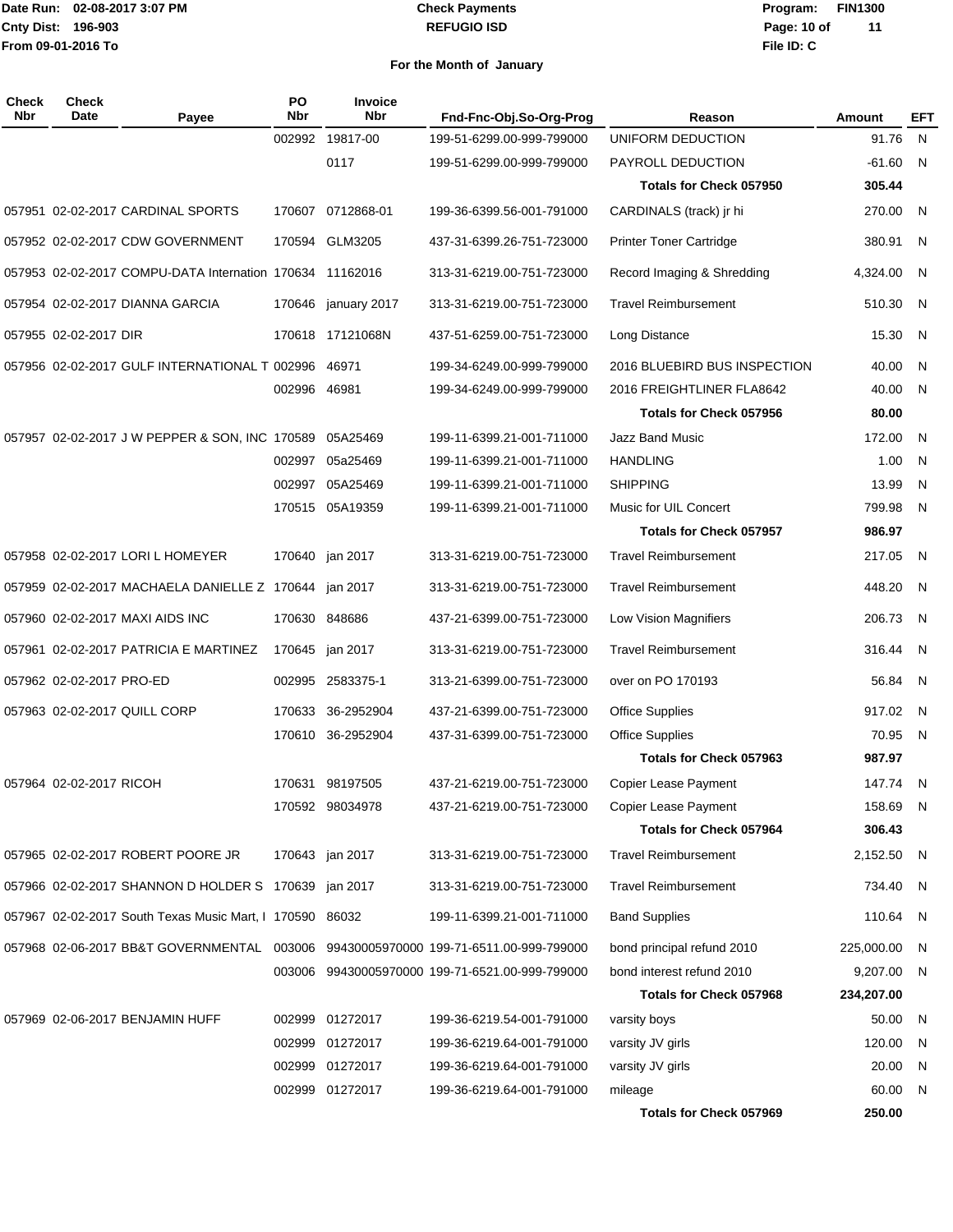#### **REFUGIO ISD Check Payments**

**02-08-2017 3:07 PM Program: FIN1300 File ID: C Page: 10 of 11**

| <b>Check</b><br>Nbr | <b>Check</b><br><b>Date</b> | Payee                                                    | PO<br><b>Nbr</b> | Invoice<br><b>Nbr</b> | Fnd-Fnc-Obj.So-Org-Prog                                                             | Reason                         | <b>Amount</b> | EFT |
|---------------------|-----------------------------|----------------------------------------------------------|------------------|-----------------------|-------------------------------------------------------------------------------------|--------------------------------|---------------|-----|
|                     |                             |                                                          |                  | 002992 19817-00       | 199-51-6299.00-999-799000                                                           | UNIFORM DEDUCTION              | 91.76         | N   |
|                     |                             |                                                          |                  | 0117                  | 199-51-6299.00-999-799000                                                           | PAYROLL DEDUCTION              | $-61.60$      | - N |
|                     |                             |                                                          |                  |                       |                                                                                     | Totals for Check 057950        | 305.44        |     |
|                     |                             | 057951 02-02-2017 CARDINAL SPORTS                        | 170607           | 0712868-01            | 199-36-6399.56-001-791000                                                           | CARDINALS (track) jr hi        | 270.00        | N   |
|                     |                             | 057952 02-02-2017 CDW GOVERNMENT                         | 170594           | GLM3205               | 437-31-6399.26-751-723000                                                           | <b>Printer Toner Cartridge</b> | 380.91        | -N  |
|                     |                             | 057953 02-02-2017 COMPU-DATA Internation 170634 11162016 |                  |                       | 313-31-6219.00-751-723000                                                           | Record Imaging & Shredding     | 4,324.00      | - N |
|                     |                             | 057954 02-02-2017 DIANNA GARCIA                          | 170646           | january 2017          | 313-31-6219.00-751-723000                                                           | <b>Travel Reimbursement</b>    | 510.30        | N   |
|                     | 057955 02-02-2017 DIR       |                                                          |                  | 170618 17121068N      | 437-51-6259.00-751-723000                                                           | Long Distance                  | 15.30         | -N  |
|                     |                             | 057956 02-02-2017 GULF INTERNATIONAL T 002996            |                  | 46971                 | 199-34-6249.00-999-799000                                                           | 2016 BLUEBIRD BUS INSPECTION   | 40.00         | - N |
|                     |                             |                                                          | 002996 46981     |                       | 199-34-6249.00-999-799000                                                           | 2016 FREIGHTLINER FLA8642      | 40.00         | -N  |
|                     |                             |                                                          |                  |                       |                                                                                     | <b>Totals for Check 057956</b> | 80.00         |     |
|                     |                             | 057957 02-02-2017 J W PEPPER & SON, INC 170589           |                  | 05A25469              | 199-11-6399.21-001-711000                                                           | <b>Jazz Band Music</b>         | 172.00        | -N  |
|                     |                             |                                                          | 002997           | 05a25469              | 199-11-6399.21-001-711000                                                           | <b>HANDLING</b>                | 1.00          | N   |
|                     |                             |                                                          | 002997           | 05A25469              | 199-11-6399.21-001-711000                                                           | <b>SHIPPING</b>                | 13.99         | N   |
|                     |                             |                                                          |                  | 170515 05A19359       | 199-11-6399.21-001-711000                                                           | Music for UIL Concert          | 799.98        | -N  |
|                     |                             |                                                          |                  |                       |                                                                                     | <b>Totals for Check 057957</b> | 986.97        |     |
|                     |                             | 057958 02-02-2017 LORI L HOMEYER                         |                  | 170640 jan 2017       | 313-31-6219.00-751-723000                                                           | <b>Travel Reimbursement</b>    | 217.05        | -N  |
|                     |                             | 057959 02-02-2017 MACHAELA DANIELLE Z 170644             |                  | jan 2017              | 313-31-6219.00-751-723000                                                           | <b>Travel Reimbursement</b>    | 448.20        | -N  |
|                     |                             | 057960 02-02-2017 MAXI AIDS INC                          |                  | 170630 848686         | 437-21-6399.00-751-723000                                                           | Low Vision Magnifiers          | 206.73        | - N |
|                     |                             | 057961 02-02-2017 PATRICIA E MARTINEZ                    | 170645           | jan 2017              | 313-31-6219.00-751-723000                                                           | <b>Travel Reimbursement</b>    | 316.44        | - N |
|                     | 057962 02-02-2017 PRO-ED    |                                                          |                  | 002995 2583375-1      | 313-21-6399.00-751-723000                                                           | over on PO 170193              | 56.84         | - N |
|                     |                             | 057963 02-02-2017 QUILL CORP                             | 170633           | 36-2952904            | 437-21-6399.00-751-723000                                                           | <b>Office Supplies</b>         | 917.02        | - N |
|                     |                             |                                                          |                  | 170610 36-2952904     | 437-31-6399.00-751-723000                                                           | Office Supplies                | 70.95         | - N |
|                     |                             |                                                          |                  |                       |                                                                                     | <b>Totals for Check 057963</b> | 987.97        |     |
|                     | 057964 02-02-2017 RICOH     |                                                          |                  | 170631 98197505       | 437-21-6219.00-751-723000                                                           | Copier Lease Payment           | 147.74 N      |     |
|                     |                             |                                                          |                  | 170592 98034978       | 437-21-6219.00-751-723000                                                           | <b>Copier Lease Payment</b>    | 158.69 N      |     |
|                     |                             |                                                          |                  |                       |                                                                                     | <b>Totals for Check 057964</b> | 306.43        |     |
|                     |                             | 057965 02-02-2017 ROBERT POORE JR                        |                  | 170643 jan 2017       | 313-31-6219.00-751-723000                                                           | <b>Travel Reimbursement</b>    | 2,152.50      | N.  |
|                     |                             | 057966 02-02-2017 SHANNON D HOLDER S 170639 jan 2017     |                  |                       | 313-31-6219.00-751-723000                                                           | <b>Travel Reimbursement</b>    | 734.40        | - N |
|                     |                             | 057967 02-02-2017 South Texas Music Mart, I 170590 86032 |                  |                       | 199-11-6399.21-001-711000                                                           | <b>Band Supplies</b>           | 110.64 N      |     |
|                     |                             |                                                          |                  |                       | 057968 02-06-2017 BB&T GOVERNMENTAL 003006 99430005970000 199-71-6511.00-999-799000 | bond principal refund 2010     | 225,000.00    | - N |
|                     |                             |                                                          |                  |                       | 003006 99430005970000 199-71-6521.00-999-799000                                     | bond interest refund 2010      | 9,207.00 N    |     |
|                     |                             |                                                          |                  |                       |                                                                                     | <b>Totals for Check 057968</b> | 234,207.00    |     |
|                     |                             | 057969 02-06-2017 BENJAMIN HUFF                          |                  | 002999 01272017       | 199-36-6219.54-001-791000                                                           | varsity boys                   | 50.00         | - N |
|                     |                             |                                                          |                  | 002999 01272017       | 199-36-6219.64-001-791000                                                           | varsity JV girls               | 120.00        | N.  |
|                     |                             |                                                          |                  | 002999 01272017       | 199-36-6219.64-001-791000                                                           | varsity JV girls               | 20.00         | N.  |
|                     |                             |                                                          |                  | 002999 01272017       | 199-36-6219.64-001-791000                                                           | mileage                        | 60.00         | N.  |
|                     |                             |                                                          |                  |                       |                                                                                     | <b>Totals for Check 057969</b> | 250.00        |     |